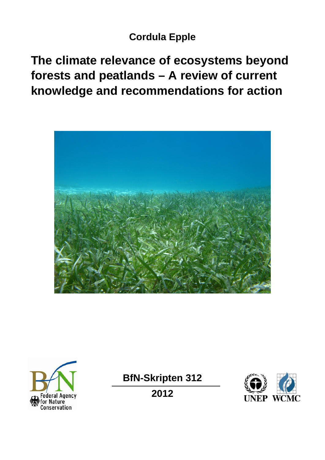# **Cordula Epple**

**The climate relevance of ecosystems beyond forests and peatlands – A review of current knowledge and recommendations for action** 





**BfN-Skripten 312** 

**2012** 

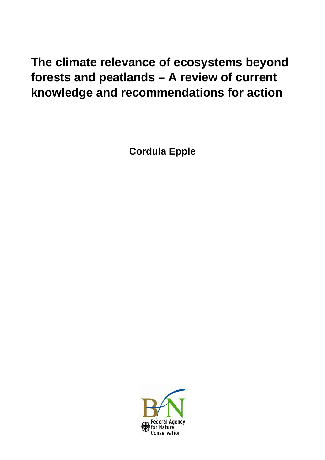# **The climate relevance of ecosystems beyond forests and peatlands – A review of current knowledge and recommendations for action**

**Cordula Epple** 

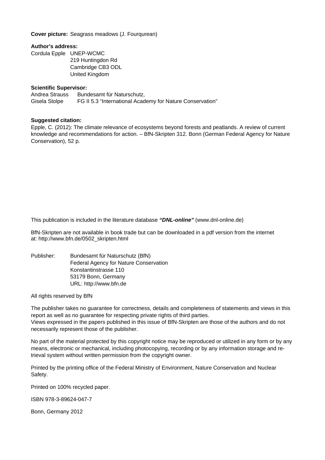**Cover picture:** Seagrass meadows (J. Fourqurean)

#### **Author's address:**

Cordula Epple UNEP-WCMC

219 Huntingdon Rd Cambridge CB3 ODL United Kingdom

#### **Scientific Supervisor:**

Andrea Strauss Bundesamt für Naturschutz, Gisela Stolpe FG II 5.3 "International Academy for Nature Conservation"

#### **Suggested citation:**

Epple, C. (2012): The climate relevance of ecosystems beyond forests and peatlands. A review of current knowledge and recommendations for action. – BfN-Skripten 312. Bonn (German Federal Agency for Nature Conservation), 52 p.

This publication is included in the literature database *"DNL-online"* (www.dnl-online.de)

BfN-Skripten are not available in book trade but can be downloaded in a pdf version from the internet at: http://www.bfn.de/0502\_skripten.html

Publisher: Bundesamt für Naturschutz (BfN) Federal Agency for Nature Conservation Konstantinstrasse 110 53179 Bonn, Germany URL: http://www.bfn.de

All rights reserved by BfN

The publisher takes no guarantee for correctness, details and completeness of statements and views in this report as well as no guarantee for respecting private rights of third parties. Views expressed in the papers published in this issue of BfN-Skripten are those of the authors and do not necessarily represent those of the publisher.

No part of the material protected by this copyright notice may be reproduced or utilized in any form or by any means, electronic or mechanical, including photocopying, recording or by any information storage and retrieval system without written permission from the copyright owner.

Printed by the printing office of the Federal Ministry of Environment, Nature Conservation and Nuclear Safety.

Printed on 100% recycled paper.

ISBN 978-3-89624-047-7

Bonn, Germany 2012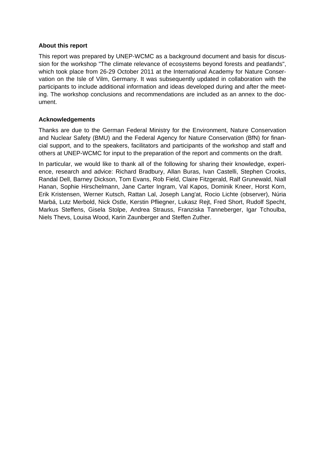#### **About this report**

This report was prepared by UNEP-WCMC as a background document and basis for discussion for the workshop "The climate relevance of ecosystems beyond forests and peatlands", which took place from 26-29 October 2011 at the International Academy for Nature Conservation on the Isle of Vilm, Germany. It was subsequently updated in collaboration with the participants to include additional information and ideas developed during and after the meeting. The workshop conclusions and recommendations are included as an annex to the document.

#### **Acknowledgements**

Thanks are due to the German Federal Ministry for the Environment, Nature Conservation and Nuclear Safety (BMU) and the Federal Agency for Nature Conservation (BfN) for financial support, and to the speakers, facilitators and participants of the workshop and staff and others at UNEP-WCMC for input to the preparation of the report and comments on the draft.

In particular, we would like to thank all of the following for sharing their knowledge, experience, research and advice: Richard Bradbury, Allan Buras, Ivan Castelli, Stephen Crooks, Randal Dell, Barney Dickson, Tom Evans, Rob Field, Claire Fitzgerald, Ralf Grunewald, Niall Hanan, Sophie Hirschelmann, Jane Carter Ingram, Val Kapos, Dominik Kneer, Horst Korn, Erik Kristensen, Werner Kutsch, Rattan Lal, Joseph Lang'at, Rocio Lichte (observer), Núria Marbá, Lutz Merbold, Nick Ostle, Kerstin Pfliegner, Lukasz Rejt, Fred Short, Rudolf Specht, Markus Steffens, Gisela Stolpe, Andrea Strauss, Franziska Tanneberger, Igar Tchoulba, Niels Thevs, Louisa Wood, Karin Zaunberger and Steffen Zuther.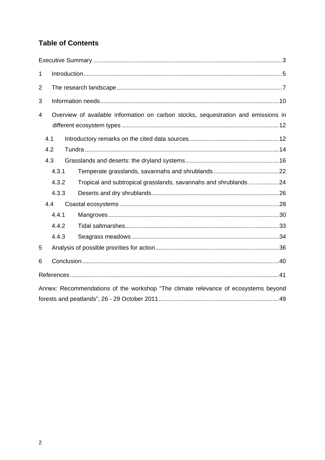# **Table of Contents**

| $\mathbf{1}$                                                                       |                                                                                    |       |                                                                  |  |
|------------------------------------------------------------------------------------|------------------------------------------------------------------------------------|-------|------------------------------------------------------------------|--|
| $\overline{2}$                                                                     |                                                                                    |       |                                                                  |  |
| 3                                                                                  |                                                                                    |       |                                                                  |  |
| 4                                                                                  | Overview of available information on carbon stocks, sequestration and emissions in |       |                                                                  |  |
|                                                                                    | 4.1                                                                                |       |                                                                  |  |
|                                                                                    | 4.2                                                                                |       |                                                                  |  |
|                                                                                    | 4.3                                                                                |       |                                                                  |  |
|                                                                                    |                                                                                    | 4.3.1 |                                                                  |  |
|                                                                                    |                                                                                    | 4.3.2 | Tropical and subtropical grasslands, savannahs and shrublands 24 |  |
|                                                                                    |                                                                                    | 4.3.3 |                                                                  |  |
|                                                                                    | 4.4                                                                                |       |                                                                  |  |
|                                                                                    |                                                                                    | 4.4.1 |                                                                  |  |
|                                                                                    |                                                                                    | 4.4.2 |                                                                  |  |
|                                                                                    |                                                                                    | 4.4.3 |                                                                  |  |
| 5                                                                                  |                                                                                    |       |                                                                  |  |
| 6                                                                                  |                                                                                    |       |                                                                  |  |
|                                                                                    |                                                                                    |       |                                                                  |  |
| Annex: Recommendations of the workshop "The climate relevance of ecosystems beyond |                                                                                    |       |                                                                  |  |
|                                                                                    |                                                                                    |       |                                                                  |  |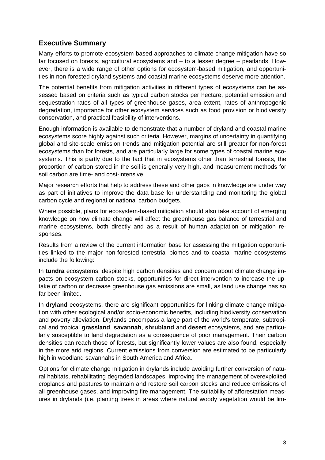# <span id="page-5-0"></span>**Executive Summary**

Many efforts to promote ecosystem-based approaches to climate change mitigation have so far focused on forests, agricultural ecosystems and – to a lesser degree – peatlands. However, there is a wide range of other options for ecosystem-based mitigation, and opportunities in non-forested dryland systems and coastal marine ecosystems deserve more attention.

The potential benefits from mitigation activities in different types of ecosystems can be assessed based on criteria such as typical carbon stocks per hectare, potential emission and sequestration rates of all types of greenhouse gases, area extent, rates of anthropogenic degradation, importance for other ecosystem services such as food provision or biodiversity conservation, and practical feasibility of interventions.

Enough information is available to demonstrate that a number of dryland and coastal marine ecosystems score highly against such criteria. However, margins of uncertainty in quantifying global and site-scale emission trends and mitigation potential are still greater for non-forest ecosystems than for forests, and are particularly large for some types of coastal marine ecosystems. This is partly due to the fact that in ecosystems other than terrestrial forests, the proportion of carbon stored in the soil is generally very high, and measurement methods for soil carbon are time- and cost-intensive.

Major research efforts that help to address these and other gaps in knowledge are under way as part of initiatives to improve the data base for understanding and monitoring the global carbon cycle and regional or national carbon budgets.

Where possible, plans for ecosystem-based mitigation should also take account of emerging knowledge on how climate change will affect the greenhouse gas balance of terrestrial and marine ecosystems, both directly and as a result of human adaptation or mitigation responses.

Results from a review of the current information base for assessing the mitigation opportunities linked to the major non-forested terrestrial biomes and to coastal marine ecosystems include the following:

In **tundra** ecosystems, despite high carbon densities and concern about climate change impacts on ecosystem carbon stocks, opportunities for direct intervention to increase the uptake of carbon or decrease greenhouse gas emissions are small, as land use change has so far been limited.

In **dryland** ecosystems, there are significant opportunities for linking climate change mitigation with other ecological and/or socio-economic benefits, including biodiversity conservation and poverty alleviation. Drylands encompass a large part of the world's temperate, subtropical and tropical **grassland**, **savannah**, **shrubland** and **desert** ecosystems, and are particularly susceptible to land degradation as a consequence of poor management. Their carbon densities can reach those of forests, but significantly lower values are also found, especially in the more arid regions. Current emissions from conversion are estimated to be particularly high in woodland savannahs in South America and Africa.

Options for climate change mitigation in drylands include avoiding further conversion of natural habitats, rehabilitating degraded landscapes, improving the management of overexploited croplands and pastures to maintain and restore soil carbon stocks and reduce emissions of all greenhouse gases, and improving fire management. The suitability of afforestation measures in drylands (i.e. planting trees in areas where natural woody vegetation would be lim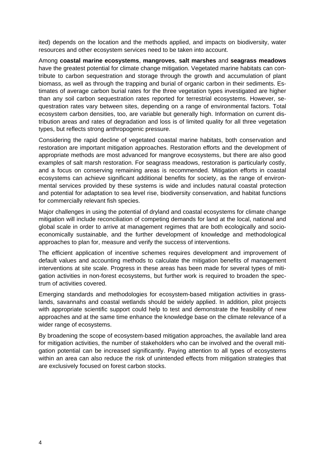ited) depends on the location and the methods applied, and impacts on biodiversity, water resources and other ecosystem services need to be taken into account.

Among **coastal marine ecosystems**, **mangroves**, **salt marshes** and **seagrass meadows** have the greatest potential for climate change mitigation. Vegetated marine habitats can contribute to carbon sequestration and storage through the growth and accumulation of plant biomass, as well as through the trapping and burial of organic carbon in their sediments. Estimates of average carbon burial rates for the three vegetation types investigated are higher than any soil carbon sequestration rates reported for terrestrial ecosystems. However, sequestration rates vary between sites, depending on a range of environmental factors. Total ecosystem carbon densities, too, are variable but generally high. Information on current distribution areas and rates of degradation and loss is of limited quality for all three vegetation types, but reflects strong anthropogenic pressure.

Considering the rapid decline of vegetated coastal marine habitats, both conservation and restoration are important mitigation approaches. Restoration efforts and the development of appropriate methods are most advanced for mangrove ecosystems, but there are also good examples of salt marsh restoration. For seagrass meadows, restoration is particularly costly, and a focus on conserving remaining areas is recommended. Mitigation efforts in coastal ecosystems can achieve significant additional benefits for society, as the range of environmental services provided by these systems is wide and includes natural coastal protection and potential for adaptation to sea level rise, biodiversity conservation, and habitat functions for commercially relevant fish species.

Major challenges in using the potential of dryland and coastal ecosystems for climate change mitigation will include reconciliation of competing demands for land at the local, national and global scale in order to arrive at management regimes that are both ecologically and socioeconomically sustainable, and the further development of knowledge and methodological approaches to plan for, measure and verify the success of interventions.

The efficient application of incentive schemes requires development and improvement of default values and accounting methods to calculate the mitigation benefits of management interventions at site scale. Progress in these areas has been made for several types of mitigation activities in non-forest ecosystems, but further work is required to broaden the spectrum of activities covered.

Emerging standards and methodologies for ecosystem-based mitigation activities in grasslands, savannahs and coastal wetlands should be widely applied. In addition, pilot projects with appropriate scientific support could help to test and demonstrate the feasibility of new approaches and at the same time enhance the knowledge base on the climate relevance of a wider range of ecosystems.

By broadening the scope of ecosystem-based mitigation approaches, the available land area for mitigation activities, the number of stakeholders who can be involved and the overall mitigation potential can be increased significantly. Paying attention to all types of ecosystems within an area can also reduce the risk of unintended effects from mitigation strategies that are exclusively focused on forest carbon stocks.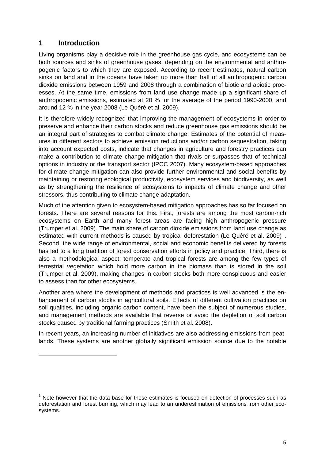# <span id="page-7-0"></span>**1 Introduction**

-

Living organisms play a decisive role in the greenhouse gas cycle, and ecosystems can be both sources and sinks of greenhouse gases, depending on the environmental and anthropogenic factors to which they are exposed. According to recent estimates, natural carbon sinks on land and in the oceans have taken up more than half of all anthropogenic carbon dioxide emissions between 1959 and 2008 through a combination of biotic and abiotic processes. At the same time, emissions from land use change made up a significant share of anthropogenic emissions, estimated at 20 % for the average of the period 1990-2000, and around 12 % in the year 2008 (Le Quéré et al. 2009).

It is therefore widely recognized that improving the management of ecosystems in order to preserve and enhance their carbon stocks and reduce greenhouse gas emissions should be an integral part of strategies to combat climate change. Estimates of the potential of measures in different sectors to achieve emission reductions and/or carbon sequestration, taking into account expected costs, indicate that changes in agriculture and forestry practices can make a contribution to climate change mitigation that rivals or surpasses that of technical options in industry or the transport sector (IPCC 2007). Many ecosystem-based approaches for climate change mitigation can also provide further environmental and social benefits by maintaining or restoring ecological productivity, ecosystem services and biodiversity, as well as by strengthening the resilience of ecosystems to impacts of climate change and other stressors, thus contributing to climate change adaptation.

Much of the attention given to ecosystem-based mitigation approaches has so far focused on forests. There are several reasons for this. First, forests are among the most carbon-rich ecosystems on Earth and many forest areas are facing high anthropogenic pressure (Trumper et al. 2009). The main share of carbon dioxide emissions from land use change as estimated with current methods is caused by tropical deforestation (Le Quéré et al. 2009)<sup>[1](#page-7-1)</sup>. Second, the wide range of environmental, social and economic benefits delivered by forests has led to a long tradition of forest conservation efforts in policy and practice. Third, there is also a methodological aspect: temperate and tropical forests are among the few types of terrestrial vegetation which hold more carbon in the biomass than is stored in the soil (Trumper et al. 2009), making changes in carbon stocks both more conspicuous and easier to assess than for other ecosystems.

Another area where the development of methods and practices is well advanced is the enhancement of carbon stocks in agricultural soils. Effects of different cultivation practices on soil qualities, including organic carbon content, have been the subject of numerous studies, and management methods are available that reverse or avoid the depletion of soil carbon stocks caused by traditional farming practices (Smith et al. 2008).

In recent years, an increasing number of initiatives are also addressing emissions from peatlands. These systems are another globally significant emission source due to the notable

<span id="page-7-1"></span> $1$  Note however that the data base for these estimates is focused on detection of processes such as deforestation and forest burning, which may lead to an underestimation of emissions from other ecosystems.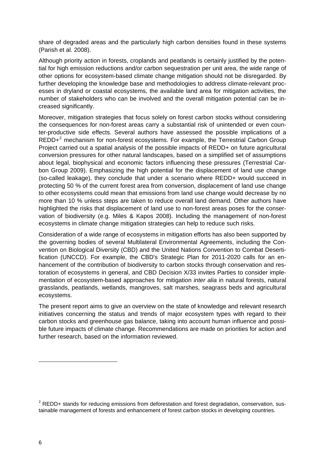share of degraded areas and the particularly high carbon densities found in these systems (Parish et al. 2008).

Although priority action in forests, croplands and peatlands is certainly justified by the potential for high emission reductions and/or carbon sequestration per unit area, the wide range of other options for ecosystem-based climate change mitigation should not be disregarded. By further developing the knowledge base and methodologies to address climate-relevant processes in dryland or coastal ecosystems, the available land area for mitigation activities, the number of stakeholders who can be involved and the overall mitigation potential can be increased significantly.

Moreover, mitigation strategies that focus solely on forest carbon stocks without considering the consequences for non-forest areas carry a substantial risk of unintended or even counter-productive side effects. Several authors have assessed the possible implications of a  $REDD+<sup>2</sup>$  $REDD+<sup>2</sup>$  $REDD+<sup>2</sup>$  mechanism for non-forest ecosystems. For example, the Terrestrial Carbon Group Project carried out a spatial analysis of the possible impacts of REDD+ on future agricultural conversion pressures for other natural landscapes, based on a simplified set of assumptions about legal, biophysical and economic factors influencing these pressures (Terrestrial Carbon Group 2009). Emphasizing the high potential for the displacement of land use change (so-called leakage), they conclude that under a scenario where REDD+ would succeed in protecting 50 % of the current forest area from conversion, displacement of land use change to other ecosystems could mean that emissions from land use change would decrease by no more than 10 % unless steps are taken to reduce overall land demand. Other authors have highlighted the risks that displacement of land use to non-forest areas poses for the conservation of biodiversity (e.g. Miles & Kapos 2008). Including the management of non-forest ecosystems in climate change mitigation strategies can help to reduce such risks.

Consideration of a wide range of ecosystems in mitigation efforts has also been supported by the governing bodies of several Multilateral Environmental Agreements, including the Convention on Biological Diversity (CBD) and the United Nations Convention to Combat Desertification (UNCCD). For example, the CBD's Strategic Plan for 2011-2020 calls for an enhancement of the contribution of biodiversity to carbon stocks through conservation and restoration of ecosystems in general, and CBD Decision X/33 invites Parties to consider implementation of ecosystem-based approaches for mitigation *inter alia* in natural forests, natural grasslands, peatlands, wetlands, mangroves, salt marshes, seagrass beds and agricultural ecosystems.

The present report aims to give an overview on the state of knowledge and relevant research initiatives concerning the status and trends of major ecosystem types with regard to their carbon stocks and greenhouse gas balance, taking into account human influence and possible future impacts of climate change. Recommendations are made on priorities for action and further research, based on the information reviewed.

-

<span id="page-8-0"></span> $2$  REDD+ stands for reducing emissions from deforestation and forest degradation, conservation, sustainable management of forests and enhancement of forest carbon stocks in developing countries.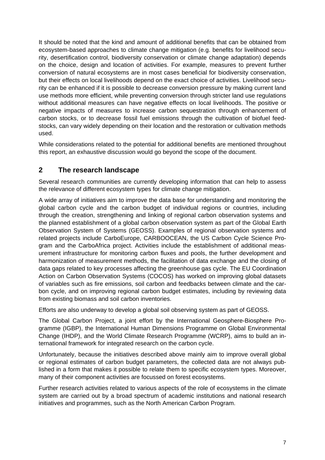It should be noted that the kind and amount of additional benefits that can be obtained from ecosystem-based approaches to climate change mitigation (e.g. benefits for livelihood security, desertification control, biodiversity conservation or climate change adaptation) depends on the choice, design and location of activities. For example, measures to prevent further conversion of natural ecosystems are in most cases beneficial for biodiversity conservation, but their effects on local livelihoods depend on the exact choice of activities. Livelihood security can be enhanced if it is possible to decrease conversion pressure by making current land use methods more efficient, while preventing conversion through stricter land use regulations without additional measures can have negative effects on local livelihoods. The positive or negative impacts of measures to increase carbon sequestration through enhancement of carbon stocks, or to decrease fossil fuel emissions through the cultivation of biofuel feedstocks, can vary widely depending on their location and the restoration or cultivation methods used.

While considerations related to the potential for additional benefits are mentioned throughout this report, an exhaustive discussion would go beyond the scope of the document.

# <span id="page-9-0"></span>**2 The research landscape**

Several research communities are currently developing information that can help to assess the relevance of different ecosystem types for climate change mitigation.

A wide array of initiatives aim to improve the data base for understanding and monitoring the global carbon cycle and the carbon budget of individual regions or countries, including through the creation, strengthening and linking of regional carbon observation systems and the planned establishment of a global carbon observation system as part of the Global Earth Observation System of Systems (GEOSS). Examples of regional observation systems and related projects include CarboEurope, CARBOOCEAN, the US Carbon Cycle Science Program and the CarboAfrica project. Activities include the establishment of additional measurement infrastructure for monitoring carbon fluxes and pools, the further development and harmonization of measurement methods, the facilitation of data exchange and the closing of data gaps related to key processes affecting the greenhouse gas cycle. The EU Coordination Action on Carbon Observation Systems (COCOS) has worked on improving global datasets of variables such as fire emissions, soil carbon and feedbacks between climate and the carbon cycle, and on improving regional carbon budget estimates, including by reviewing data from existing biomass and soil carbon inventories.

Efforts are also underway to develop a global soil observing system as part of GEOSS.

The Global Carbon Project, a joint effort by the International Geosphere-Biosphere Programme (IGBP), the International Human Dimensions Programme on Global Environmental Change (IHDP), and the World Climate Research Programme (WCRP), aims to build an international framework for integrated research on the carbon cycle.

Unfortunately, because the initiatives described above mainly aim to improve overall global or regional estimates of carbon budget parameters, the collected data are not always published in a form that makes it possible to relate them to specific ecosystem types. Moreover, many of their component activities are focussed on forest ecosystems.

Further research activities related to various aspects of the role of ecosystems in the climate system are carried out by a broad spectrum of academic institutions and national research initiatives and programmes, such as the North American Carbon Program.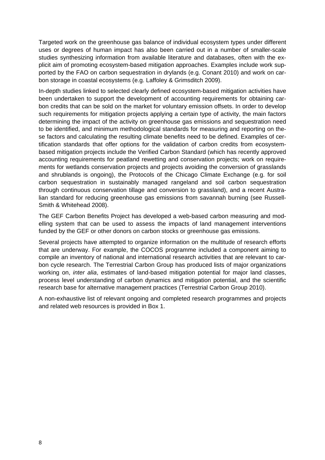Targeted work on the greenhouse gas balance of individual ecosystem types under different uses or degrees of human impact has also been carried out in a number of smaller-scale studies synthesizing information from available literature and databases, often with the explicit aim of promoting ecosystem-based mitigation approaches. Examples include work supported by the FAO on carbon sequestration in drylands (e.g. Conant 2010) and work on carbon storage in coastal ecosystems (e.g. Laffoley & Grimsditch 2009).

In-depth studies linked to selected clearly defined ecosystem-based mitigation activities have been undertaken to support the development of accounting requirements for obtaining carbon credits that can be sold on the market for voluntary emission offsets. In order to develop such requirements for mitigation projects applying a certain type of activity, the main factors determining the impact of the activity on greenhouse gas emissions and sequestration need to be identified, and minimum methodological standards for measuring and reporting on these factors and calculating the resulting climate benefits need to be defined. Examples of certification standards that offer options for the validation of carbon credits from ecosystembased mitigation projects include the Verified Carbon Standard (which has recently approved accounting requirements for peatland rewetting and conservation projects; work on requirements for wetlands conservation projects and projects avoiding the conversion of grasslands and shrublands is ongoing), the Protocols of the Chicago Climate Exchange (e.g. for soil carbon sequestration in sustainably managed rangeland and soil carbon sequestration through continuous conservation tillage and conversion to grassland), and a recent Australian standard for reducing greenhouse gas emissions from savannah burning (see Russell-Smith & Whitehead 2008).

The GEF Carbon Benefits Project has developed a web-based carbon measuring and modelling system that can be used to assess the impacts of land management interventions funded by the GEF or other donors on carbon stocks or greenhouse gas emissions.

Several projects have attempted to organize information on the multitude of research efforts that are underway. For example, the COCOS programme included a component aiming to compile an inventory of national and international research activities that are relevant to carbon cycle research. The Terrestrial Carbon Group has produced lists of major organizations working on, *inter alia*, estimates of land-based mitigation potential for major land classes, process level understanding of carbon dynamics and mitigation potential, and the scientific research base for alternative management practices (Terrestrial Carbon Group 2010).

A non-exhaustive list of relevant ongoing and completed research programmes and projects and related web resources is provided in Box 1.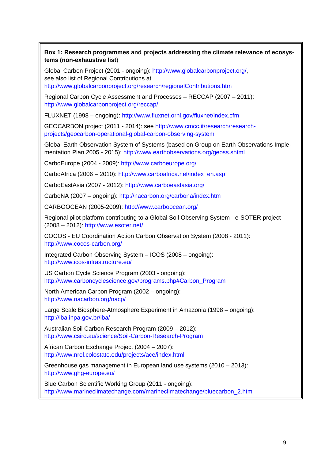# **Box 1: Research programmes and projects addressing the climate relevance of ecosystems (non-exhaustive list**)

Global Carbon Project (2001 - ongoing): [http://www.globalcarbonproject.org/,](http://www.globalcarbonproject.org/) see also list of Regional Contributions at <http://www.globalcarbonproject.org/research/regionalContributions.htm>

Regional Carbon Cycle Assessment and Processes – RECCAP (2007 – 2011): <http://www.globalcarbonproject.org/reccap/>

FLUXNET (1998 – ongoing): <http://www.fluxnet.ornl.gov/fluxnet/index.cfm>

GEOCARBON project (2011 - 2014): see [http://www.cmcc.it/research/research](http://www.cmcc.it/research/research-projects/geocarbon-operational-global-carbon-observing-system)[projects/geocarbon-operational-global-carbon-observing-system](http://www.cmcc.it/research/research-projects/geocarbon-operational-global-carbon-observing-system)

Global Earth Observation System of Systems (based on Group on Earth Observations Implementation Plan 2005 - 2015):<http://www.earthobservations.org/geoss.shtml>

CarboEurope (2004 - 2009): <http://www.carboeurope.org/>

CarboAfrica (2006 – 2010): [http://www.carboafrica.net/index\\_en.asp](http://www.carboafrica.net/index_en.asp)

CarboEastAsia (2007 - 2012): <http://www.carboeastasia.org/>

CarboNA (2007 – ongoing): <http://nacarbon.org/carbona/index.htm>

CARBOOCEAN (2005-2009):<http://www.carboocean.org/>

Regional pilot platform contributing to a Global Soil Observing System - e-SOTER project (2008 – 2012): <http://www.esoter.net/>

COCOS - EU Coordination Action Carbon Observation System (2008 - 2011): <http://www.cocos-carbon.org/>

Integrated Carbon Observing System – ICOS (2008 – ongoing): <http://www.icos-infrastructure.eu/>

US Carbon Cycle Science Program (2003 - ongoing): [http://www.carboncyclescience.gov/programs.php#Carbon\\_Program](http://www.carboncyclescience.gov/programs.php#Carbon_Program)

North American Carbon Program (2002 – ongoing): <http://www.nacarbon.org/nacp/>

Large Scale Biosphere-Atmosphere Experiment in Amazonia (1998 – ongoing): <http://lba.inpa.gov.br/lba/>

Australian Soil Carbon Research Program (2009 – 2012): <http://www.csiro.au/science/Soil-Carbon-Research-Program>

African Carbon Exchange Project (2004 – 2007): <http://www.nrel.colostate.edu/projects/ace/index.html>

Greenhouse gas management in European land use systems (2010 – 2013): <http://www.ghg-europe.eu/>

Blue Carbon Scientific Working Group (2011 - ongoing): [http://www.marineclimatechange.com/marineclimatechange/bluecarbon\\_2.html](http://www.marineclimatechange.com/marineclimatechange/bluecarbon_2.html)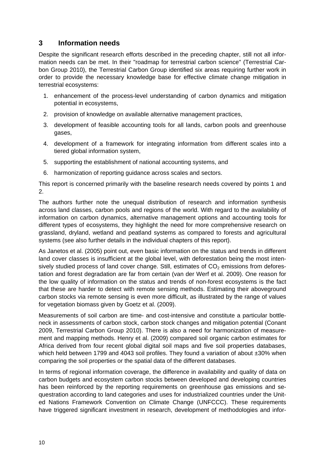# <span id="page-12-0"></span>**3 Information needs**

Despite the significant research efforts described in the preceding chapter, still not all information needs can be met. In their "roadmap for terrestrial carbon science" (Terrestrial Carbon Group 2010), the Terrestrial Carbon Group identified six areas requiring further work in order to provide the necessary knowledge base for effective climate change mitigation in terrestrial ecosystems:

- 1. enhancement of the process-level understanding of carbon dynamics and mitigation potential in ecosystems,
- 2. provision of knowledge on available alternative management practices,
- 3. development of feasible accounting tools for all lands, carbon pools and greenhouse gases,
- 4. development of a framework for integrating information from different scales into a tiered global information system,
- 5. supporting the establishment of national accounting systems, and
- 6. harmonization of reporting guidance across scales and sectors.

This report is concerned primarily with the baseline research needs covered by points 1 and 2.

The authors further note the unequal distribution of research and information synthesis across land classes, carbon pools and regions of the world. With regard to the availability of information on carbon dynamics, alternative management options and accounting tools for different types of ecosystems, they highlight the need for more comprehensive research on grassland, dryland, wetland and peatland systems as compared to forests and agricultural systems (see also further details in the individual chapters of this report).

As Janetos et al. (2005) point out, even basic information on the status and trends in different land cover classes is insufficient at the global level, with deforestation being the most intensively studied process of land cover change. Still, estimates of  $CO<sub>2</sub>$  emissions from deforestation and forest degradation are far from certain (van der Werf et al. 2009). One reason for the low quality of information on the status and trends of non-forest ecosystems is the fact that these are harder to detect with remote sensing methods. Estimating their aboveground carbon stocks via remote sensing is even more difficult, as illustrated by the range of values for vegetation biomass given by Goetz et al. (2009).

Measurements of soil carbon are time- and cost-intensive and constitute a particular bottleneck in assessments of carbon stock, carbon stock changes and mitigation potential (Conant 2009, Terrestrial Carbon Group 2010). There is also a need for harmonization of measurement and mapping methods. Henry et al. (2009) compared soil organic carbon estimates for Africa derived from four recent global digital soil maps and five soil properties databases, which held between 1799 and 4043 soil profiles. They found a variation of about  $\pm 30\%$  when comparing the soil properties or the spatial data of the different databases.

In terms of regional information coverage, the difference in availability and quality of data on carbon budgets and ecosystem carbon stocks between developed and developing countries has been reinforced by the reporting requirements on greenhouse gas emissions and sequestration according to land categories and uses for industrialized countries under the United Nations Framework Convention on Climate Change (UNFCCC). These requirements have triggered significant investment in research, development of methodologies and infor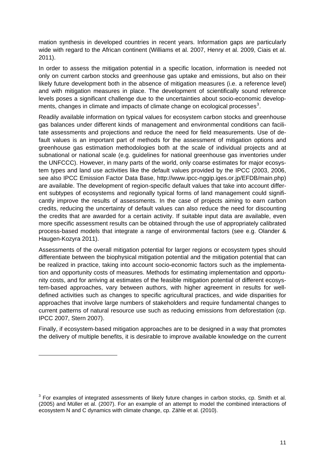mation synthesis in developed countries in recent years. Information gaps are particularly wide with regard to the African continent (Williams et al. 2007, Henry et al. 2009, Ciais et al. 2011).

In order to assess the mitigation potential in a specific location, information is needed not only on current carbon stocks and greenhouse gas uptake and emissions, but also on their likely future development both in the absence of mitigation measures (i.e. a reference level) and with mitigation measures in place. The development of scientifically sound reference levels poses a significant challenge due to the uncertainties about socio-economic develop-ments, changes in climate and impacts of climate change on ecological processes<sup>[3](#page-13-0)</sup>.

Readily available information on typical values for ecosystem carbon stocks and greenhouse gas balances under different kinds of management and environmental conditions can facilitate assessments and projections and reduce the need for field measurements. Use of default values is an important part of methods for the assessment of mitigation options and greenhouse gas estimation methodologies both at the scale of individual projects and at subnational or national scale (e.g. guidelines for national greenhouse gas inventories under the UNFCCC). However, in many parts of the world, only coarse estimates for major ecosystem types and land use activities like the default values provided by the IPCC (2003, 2006, see also IPCC Emission Factor Data Base, http://www.ipcc-nggip.iges.or.jp/EFDB/main.php) are available. The development of region-specific default values that take into account different subtypes of ecosystems and regionally typical forms of land management could significantly improve the results of assessments. In the case of projects aiming to earn carbon credits, reducing the uncertainty of default values can also reduce the need for discounting the credits that are awarded for a certain activity. If suitable input data are available, even more specific assessment results can be obtained through the use of appropriately calibrated process-based models that integrate a range of environmental factors (see e.g. Olander & Haugen-Kozyra 2011).

Assessments of the overall mitigation potential for larger regions or ecosystem types should differentiate between the biophysical mitigation potential and the mitigation potential that can be realized in practice, taking into account socio-economic factors such as the implementation and opportunity costs of measures. Methods for estimating implementation and opportunity costs, and for arriving at estimates of the feasible mitigation potential of different ecosystem-based approaches, vary between authors, with higher agreement in results for welldefined activities such as changes to specific agricultural practices, and wide disparities for approaches that involve large numbers of stakeholders and require fundamental changes to current patterns of natural resource use such as reducing emissions from deforestation (cp. IPCC 2007, Stern 2007).

Finally, if ecosystem-based mitigation approaches are to be designed in a way that promotes the delivery of multiple benefits, it is desirable to improve available knowledge on the current

-

<span id="page-13-0"></span> $3$  For examples of integrated assessments of likely future changes in carbon stocks, cp. Smith et al. (2005) and Müller et al. (2007). For an example of an attempt to model the combined interactions of ecosystem N and C dynamics with climate change, cp. Zähle et al. (2010).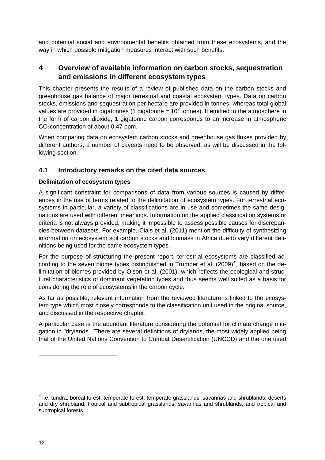and potential social and environmental benefits obtained from these ecosystems, and the way in which possible mitigation measures interact with such benefits.

# <span id="page-14-0"></span>**4 Overview of available information on carbon stocks, sequestration and emissions in different ecosystem types**

This chapter presents the results of a review of published data on the carbon stocks and greenhouse gas balance of major terrestrial and coastal ecosystem types. Data on carbon stocks, emissions and sequestration per hectare are provided in tonnes, whereas total global values are provided in gigatonnes (1 gigatonne =  $10^9$  tonnes). If emitted to the atmosphere in the form of carbon dioxide, 1 gigatonne carbon corresponds to an increase in atmospheric CO<sub>2</sub>concentration of about 0.47 ppm.

When comparing data on ecosystem carbon stocks and greenhouse gas fluxes provided by different authors, a number of caveats need to be observed, as will be discussed in the following section.

# <span id="page-14-1"></span>**4.1 Introductory remarks on the cited data sources**

# **Delimitation of ecosystem types**

A significant constraint for comparisons of data from various sources is caused by differences in the use of terms related to the delimitation of ecosystem types. For terrestrial ecosystems in particular, a variety of classifications are in use and sometimes the same designations are used with different meanings. Information on the applied classification systems or criteria is not always provided, making it impossible to assess possible causes for discrepancies between datasets. For example, Ciais et al. (2011) mention the difficulty of synthesizing information on ecosystem soil carbon stocks and biomass in Africa due to very different definitions being used for the same ecosystem types.

For the purpose of structuring the present report, terrestrial ecosystems are classified according to the seven biome types distinguished in Trumper et al.  $(2009)^4$  $(2009)^4$ , based on the delimitation of biomes provided by Olson et al. (2001), which reflects the ecological and structural characteristics of dominant vegetation types and thus seems well suited as a basis for considering the role of ecosystems in the carbon cycle.

As far as possible, relevant information from the reviewed literature is linked to the ecosystem type which most closely corresponds to the classification unit used in the original source, and discussed in the respective chapter.

A particular case is the abundant literature considering the potential for climate change mitigation in "drylands". There are several definitions of drylands, the most widely applied being that of the United Nations Convention to Combat Desertification (UNCCD) and the one used

-

<span id="page-14-2"></span><sup>&</sup>lt;sup>4</sup> i.e. tundra; boreal forest; temperate forest; temperate grasslands, savannas and shrublands; deserts and dry shrubland; tropical and subtropical grasslands, savannas and shrublands, and tropical and subtropical forests.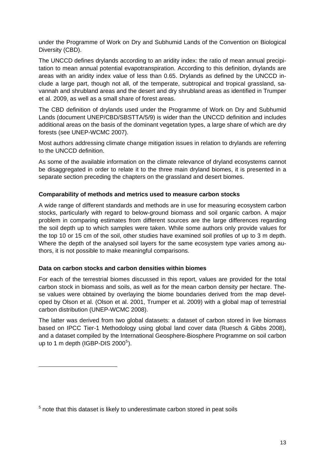under the Programme of Work on Dry and Subhumid Lands of the Convention on Biological Diversity (CBD).

The UNCCD defines drylands according to an aridity index: the ratio of mean annual precipitation to mean annual potential evapotranspiration. According to this definition, drylands are areas with an aridity index value of less than 0.65. Drylands as defined by the UNCCD include a large part, though not all, of the temperate, subtropical and tropical grassland, savannah and shrubland areas and the desert and dry shrubland areas as identified in Trumper et al. 2009, as well as a small share of forest areas.

The CBD definition of drylands used under the Programme of Work on Dry and Subhumid Lands (document UNEP/CBD/SBSTTA/5/9) is wider than the UNCCD definition and includes additional areas on the basis of the dominant vegetation types, a large share of which are dry forests (see UNEP-WCMC 2007).

Most authors addressing climate change mitigation issues in relation to drylands are referring to the UNCCD definition.

As some of the available information on the climate relevance of dryland ecosystems cannot be disaggregated in order to relate it to the three main dryland biomes, it is presented in a separate section preceding the chapters on the grassland and desert biomes.

### **Comparability of methods and metrics used to measure carbon stocks**

A wide range of different standards and methods are in use for measuring ecosystem carbon stocks, particularly with regard to below-ground biomass and soil organic carbon. A major problem in comparing estimates from different sources are the large differences regarding the soil depth up to which samples were taken. While some authors only provide values for the top 10 or 15 cm of the soil, other studies have examined soil profiles of up to 3 m depth. Where the depth of the analysed soil layers for the same ecosystem type varies among authors, it is not possible to make meaningful comparisons.

#### **Data on carbon stocks and carbon densities within biomes**

-

For each of the terrestrial biomes discussed in this report, values are provided for the total carbon stock in biomass and soils, as well as for the mean carbon density per hectare. These values were obtained by overlaying the biome boundaries derived from the map developed by Olson et al. (Olson et al. 2001, Trumper et al. 2009) with a global map of terrestrial carbon distribution (UNEP-WCMC 2008).

The latter was derived from two global datasets: a dataset of carbon stored in live biomass based on IPCC Tier-1 Methodology using global land cover data (Ruesch & Gibbs 2008), and a dataset compiled by the International Geosphere-Biosphere Programme on soil carbon up to 1 m depth (IGBP-DIS  $2000^5$  $2000^5$ ).

<span id="page-15-0"></span> $5$  note that this dataset is likely to underestimate carbon stored in peat soils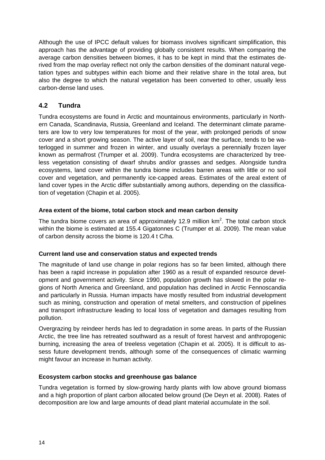Although the use of IPCC default values for biomass involves significant simplification, this approach has the advantage of providing globally consistent results. When comparing the average carbon densities between biomes, it has to be kept in mind that the estimates derived from the map overlay reflect not only the carbon densities of the dominant natural vegetation types and subtypes within each biome and their relative share in the total area, but also the degree to which the natural vegetation has been converted to other, usually less carbon-dense land uses.

# <span id="page-16-0"></span>**4.2 Tundra**

Tundra ecosystems are found in Arctic and mountainous environments, particularly in Northern Canada, Scandinavia, Russia, Greenland and Iceland. The determinant climate parameters are low to very low temperatures for most of the year, with prolonged periods of snow cover and a short growing season. The active layer of soil, near the surface, tends to be waterlogged in summer and frozen in winter, and usually overlays a perennially frozen layer known as permafrost (Trumper et al. 2009). Tundra ecosystems are characterized by treeless vegetation consisting of dwarf shrubs and/or grasses and sedges. Alongside tundra ecosystems, land cover within the tundra biome includes barren areas with little or no soil cover and vegetation, and permanently ice-capped areas. Estimates of the areal extent of land cover types in the Arctic differ substantially among authors, depending on the classification of vegetation (Chapin et al. 2005).

# **Area extent of the biome, total carbon stock and mean carbon density**

The tundra biome covers an area of approximately 12.9 million  $km<sup>2</sup>$ . The total carbon stock within the biome is estimated at 155.4 Gigatonnes C (Trumper et al. 2009). The mean value of carbon density across the biome is 120.4 t C/ha.

# **Current land use and conservation status and expected trends**

The magnitude of land use change in polar regions has so far been limited, although there has been a rapid increase in population after 1960 as a result of expanded resource development and government activity. Since 1990, population growth has slowed in the polar regions of North America and Greenland, and population has declined in Arctic Fennoscandia and particularly in Russia. Human impacts have mostly resulted from industrial development such as mining, construction and operation of metal smelters, and construction of pipelines and transport infrastructure leading to local loss of vegetation and damages resulting from pollution.

Overgrazing by reindeer herds has led to degradation in some areas. In parts of the Russian Arctic, the tree line has retreated southward as a result of forest harvest and anthropogenic burning, increasing the area of treeless vegetation (Chapin et al. 2005). It is difficult to assess future development trends, although some of the consequences of climatic warming might favour an increase in human activity.

# **Ecosystem carbon stocks and greenhouse gas balance**

Tundra vegetation is formed by slow-growing hardy plants with low above ground biomass and a high proportion of plant carbon allocated below ground (De Deyn et al. 2008). Rates of decomposition are low and large amounts of dead plant material accumulate in the soil.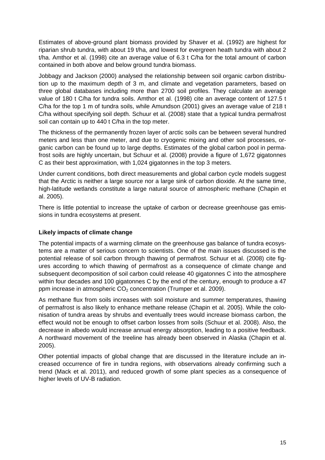Estimates of above-ground plant biomass provided by Shaver et al. (1992) are highest for riparian shrub tundra, with about 19 t/ha, and lowest for evergreen heath tundra with about 2 t/ha. Amthor et al. (1998) cite an average value of 6.3 t C/ha for the total amount of carbon contained in both above and below ground tundra biomass.

Jobbagy and Jackson (2000) analysed the relationship between soil organic carbon distribution up to the maximum depth of 3 m, and climate and vegetation parameters, based on three global databases including more than 2700 soil profiles. They calculate an average value of 180 t C/ha for tundra soils. Amthor et al. (1998) cite an average content of 127.5 t C/ha for the top 1 m of tundra soils, while Amundson (2001) gives an average value of 218 t C/ha without specifying soil depth. Schuur et al. (2008) state that a typical tundra permafrost soil can contain up to 440 t C/ha in the top meter.

The thickness of the permanently frozen layer of arctic soils can be between several hundred meters and less than one meter, and due to cryogenic mixing and other soil processes, organic carbon can be found up to large depths. Estimates of the global carbon pool in permafrost soils are highly uncertain, but Schuur et al. (2008) provide a figure of 1,672 gigatonnes C as their best approximation, with 1,024 gigatonnes in the top 3 meters.

Under current conditions, both direct measurements and global carbon cycle models suggest that the Arctic is neither a large source nor a large sink of carbon dioxide. At the same time, high-latitude wetlands constitute a large natural source of atmospheric methane (Chapin et al. 2005).

There is little potential to increase the uptake of carbon or decrease greenhouse gas emissions in tundra ecosystems at present.

# **Likely impacts of climate change**

The potential impacts of a warming climate on the greenhouse gas balance of tundra ecosystems are a matter of serious concern to scientists. One of the main issues discussed is the potential release of soil carbon through thawing of permafrost. Schuur et al. (2008) cite figures according to which thawing of permafrost as a consequence of climate change and subsequent decomposition of soil carbon could release 40 gigatonnes C into the atmosphere within four decades and 100 gigatonnes C by the end of the century, enough to produce a 47 ppm increase in atmospheric  $CO<sub>2</sub>$  concentration (Trumper et al. 2009).

As methane flux from soils increases with soil moisture and summer temperatures, thawing of permafrost is also likely to enhance methane release (Chapin et al. 2005). While the colonisation of tundra areas by shrubs and eventually trees would increase biomass carbon, the effect would not be enough to offset carbon losses from soils (Schuur et al. 2008). Also, the decrease in albedo would increase annual energy absorption, leading to a positive feedback. A northward movement of the treeline has already been observed in Alaska (Chapin et al. 2005).

Other potential impacts of global change that are discussed in the literature include an increased occurrence of fire in tundra regions, with observations already confirming such a trend (Mack et al. 2011), and reduced growth of some plant species as a consequence of higher levels of UV-B radiation.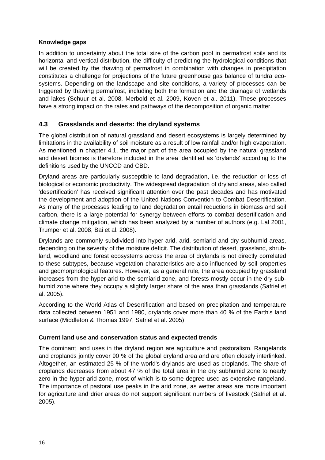# **Knowledge gaps**

In addition to uncertainty about the total size of the carbon pool in permafrost soils and its horizontal and vertical distribution, the difficulty of predicting the hydrological conditions that will be created by the thawing of permafrost in combination with changes in precipitation constitutes a challenge for projections of the future greenhouse gas balance of tundra ecosystems. Depending on the landscape and site conditions, a variety of processes can be triggered by thawing permafrost, including both the formation and the drainage of wetlands and lakes (Schuur et al. 2008, Merbold et al. 2009, Koven et al. 2011). These processes have a strong impact on the rates and pathways of the decomposition of organic matter.

# <span id="page-18-0"></span>**4.3 Grasslands and deserts: the dryland systems**

The global distribution of natural grassland and desert ecosystems is largely determined by limitations in the availability of soil moisture as a result of low rainfall and/or high evaporation. As mentioned in chapter 4.1, the major part of the area occupied by the natural grassland and desert biomes is therefore included in the area identified as 'drylands' according to the definitions used by the UNCCD and CBD.

Dryland areas are particularly susceptible to land degradation, i.e. the reduction or loss of biological or economic productivity. The widespread degradation of dryland areas, also called 'desertification' has received significant attention over the past decades and has motivated the development and adoption of the United Nations Convention to Combat Desertification. As many of the processes leading to land degradation entail reductions in biomass and soil carbon, there is a large potential for synergy between efforts to combat desertification and climate change mitigation, which has been analyzed by a number of authors (e.g. Lal 2001, Trumper et al. 2008, Bai et al. 2008).

Drylands are commonly subdivided into hyper-arid, arid, semiarid and dry subhumid areas, depending on the severity of the moisture deficit. The distribution of desert, grassland, shrubland, woodland and forest ecosystems across the area of drylands is not directly correlated to these subtypes, because vegetation characteristics are also influenced by soil properties and geomorphological features. However, as a general rule, the area occupied by grassland increases from the hyper-arid to the semiarid zone, and forests mostly occur in the dry subhumid zone where they occupy a slightly larger share of the area than grasslands (Safriel et al. 2005).

According to the World Atlas of Desertification and based on precipitation and temperature data collected between 1951 and 1980, drylands cover more than 40 % of the Earth's land surface (Middleton & Thomas 1997, Safriel et al. 2005).

# **Current land use and conservation status and expected trends**

The dominant land uses in the dryland region are agriculture and pastoralism. Rangelands and croplands jointly cover 90 % of the global dryland area and are often closely interlinked. Altogether, an estimated 25 % of the world's drylands are used as croplands. The share of croplands decreases from about 47 % of the total area in the dry subhumid zone to nearly zero in the hyper-arid zone, most of which is to some degree used as extensive rangeland. The importance of pastoral use peaks in the arid zone, as wetter areas are more important for agriculture and drier areas do not support significant numbers of livestock (Safriel et al. 2005).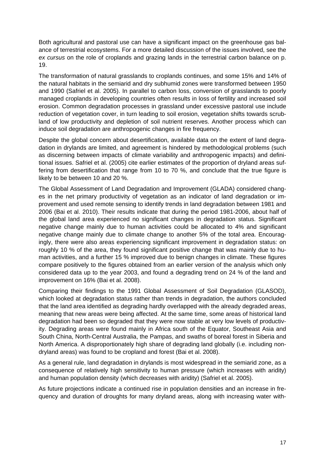Both agricultural and pastoral use can have a significant impact on the greenhouse gas balance of terrestrial ecosystems. For a more detailed discussion of the issues involved, see the *ex cursus* on the role of croplands and grazing lands in the terrestrial carbon balance on p. 19.

The transformation of natural grasslands to croplands continues, and some 15% and 14% of the natural habitats in the semiarid and dry subhumid zones were transformed between 1950 and 1990 (Safriel et al. 2005). In parallel to carbon loss, conversion of grasslands to poorly managed croplands in developing countries often results in loss of fertility and increased soil erosion. Common degradation processes in grassland under excessive pastoral use include reduction of vegetation cover, in turn leading to soil erosion, vegetation shifts towards scrubland of low productivity and depletion of soil nutrient reserves. Another process which can induce soil degradation are anthropogenic changes in fire frequency.

Despite the global concern about desertification, available data on the extent of land degradation in drylands are limited, and agreement is hindered by methodological problems (such as discerning between impacts of climate variability and anthropogenic impacts) and definitional issues. Safriel et al. (2005) cite earlier estimates of the proportion of dryland areas suffering from desertification that range from 10 to 70 %, and conclude that the true figure is likely to be between 10 and 20 %.

The Global Assessment of Land Degradation and Improvement (GLADA) considered changes in the net primary productivity of vegetation as an indicator of land degradation or improvement and used remote sensing to identify trends in land degradation between 1981 and 2006 (Bai et al. 2010). Their results indicate that during the period 1981-2006, about half of the global land area experienced no significant changes in degradation status. Significant negative change mainly due to human activities could be allocated to 4% and significant negative change mainly due to climate change to another 5% of the total area. Encouragingly, there were also areas experiencing significant improvement in degradation status: on roughly 10 % of the area, they found significant positive change that was mainly due to human activities, and a further 15 % improved due to benign changes in climate. These figures compare positively to the figures obtained from an earlier version of the analysis which only considered data up to the year 2003, and found a degrading trend on 24 % of the land and improvement on 16% (Bai et al. 2008).

Comparing their findings to the 1991 Global Assessment of Soil Degradation (GLASOD), which looked at degradation status rather than trends in degradation, the authors concluded that the land area identified as degrading hardly overlapped with the already degraded areas, meaning that new areas were being affected. At the same time, some areas of historical land degradation had been so degraded that they were now stable at very low levels of productivity. Degrading areas were found mainly in Africa south of the Equator, Southeast Asia and South China, North-Central Australia, the Pampas, and swaths of boreal forest in Siberia and North America. A disproportionately high share of degrading land globally (i.e. including nondryland areas) was found to be cropland and forest (Bai et al. 2008).

As a general rule, land degradation in drylands is most widespread in the semiarid zone, as a consequence of relatively high sensitivity to human pressure (which increases with aridity) and human population density (which decreases with aridity) (Safriel et al. 2005).

As future projections indicate a continued rise in population densities and an increase in frequency and duration of droughts for many dryland areas, along with increasing water with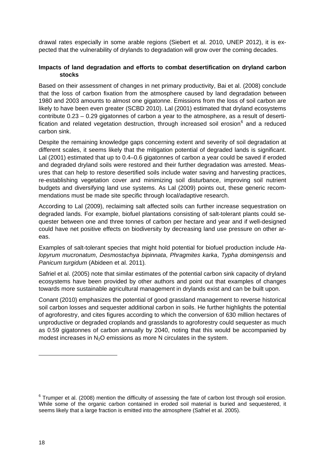drawal rates especially in some arable regions (Siebert et al. 2010, UNEP 2012), it is expected that the vulnerability of drylands to degradation will grow over the coming decades.

## **Impacts of land degradation and efforts to combat desertification on dryland carbon stocks**

Based on their assessment of changes in net primary productivity, Bai et al. (2008) conclude that the loss of carbon fixation from the atmosphere caused by land degradation between 1980 and 2003 amounts to almost one gigatonne. Emissions from the loss of soil carbon are likely to have been even greater (SCBD 2010). Lal (2001) estimated that dryland ecosystems contribute 0.23 – 0.29 gigatonnes of carbon a year to the atmosphere, as a result of desertification and related vegetation destruction, through increased soil erosion $<sup>6</sup>$  $<sup>6</sup>$  $<sup>6</sup>$  and a reduced</sup> carbon sink.

Despite the remaining knowledge gaps concerning extent and severity of soil degradation at different scales, it seems likely that the mitigation potential of degraded lands is significant. Lal (2001) estimated that up to 0.4–0.6 gigatonnes of carbon a year could be saved if eroded and degraded dryland soils were restored and their further degradation was arrested. Measures that can help to restore desertified soils include water saving and harvesting practices, re-establishing vegetation cover and minimizing soil disturbance, improving soil nutrient budgets and diversifying land use systems. As Lal (2009) points out, these generic recommendations must be made site specific through local/adaptive research.

According to Lal (2009), reclaiming salt affected soils can further increase sequestration on degraded lands. For example, biofuel plantations consisting of salt-tolerant plants could sequester between one and three tonnes of carbon per hectare and year and if well-designed could have net positive effects on biodiversity by decreasing land use pressure on other areas.

Examples of salt-tolerant species that might hold potential for biofuel production include *Halopyrum mucronatum*, *Desmostachya bipinnata*, *Phragmites karka*, *Typha domingensis* and *Panicum turgidum* (Abideen et al. 2011)*.*

Safriel et al. (2005) note that similar estimates of the potential carbon sink capacity of dryland ecosystems have been provided by other authors and point out that examples of changes towards more sustainable agricultural management in drylands exist and can be built upon.

Conant (2010) emphasizes the potential of good grassland management to reverse historical soil carbon losses and sequester additional carbon in soils. He further highlights the potential of agroforestry, and cites figures according to which the conversion of 630 million hectares of unproductive or degraded croplands and grasslands to agroforestry could sequester as much as 0.59 gigatonnes of carbon annually by 2040, noting that this would be accompanied by modest increases in  $N<sub>2</sub>O$  emissions as more N circulates in the system.

-

<span id="page-20-0"></span> $6$  Trumper et al. (2008) mention the difficulty of assessing the fate of carbon lost through soil erosion. While some of the organic carbon contained in eroded soil material is buried and sequestered, it seems likely that a large fraction is emitted into the atmosphere (Safriel et al. 2005).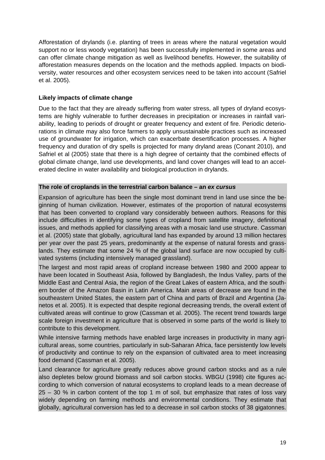Afforestation of drylands (i.e. planting of trees in areas where the natural vegetation would support no or less woody vegetation) has been successfully implemented in some areas and can offer climate change mitigation as well as livelihood benefits. However, the suitability of afforestation measures depends on the location and the methods applied. Impacts on biodiversity, water resources and other ecosystem services need to be taken into account (Safriel et al. 2005).

# **Likely impacts of climate change**

Due to the fact that they are already suffering from water stress, all types of dryland ecosystems are highly vulnerable to further decreases in precipitation or increases in rainfall variability, leading to periods of drought or greater frequency and extent of fire. Periodic deteriorations in climate may also force farmers to apply unsustainable practices such as increased use of groundwater for irrigation, which can exacerbate desertification processes. A higher frequency and duration of dry spells is projected for many dryland areas (Conant 2010), and Safriel et al (2005) state that there is a high degree of certainty that the combined effects of global climate change, land use developments, and land cover changes will lead to an accelerated decline in water availability and biological production in drylands.

#### **The role of croplands in the terrestrial carbon balance – an** *ex cursus*

Expansion of agriculture has been the single most dominant trend in land use since the beginning of human civilization. However, estimates of the proportion of natural ecosystems that has been converted to cropland vary considerably between authors. Reasons for this include difficulties in identifying some types of cropland from satellite imagery, definitional issues, and methods applied for classifying areas with a mosaic land use structure. Cassman et al. (2005) state that globally, agricultural land has expanded by around 13 million hectares per year over the past 25 years, predominantly at the expense of natural forests and grasslands. They estimate that some 24 % of the global land surface are now occupied by cultivated systems (including intensively managed grassland).

The largest and most rapid areas of cropland increase between 1980 and 2000 appear to have been located in Southeast Asia, followed by Bangladesh, the Indus Valley, parts of the Middle East and Central Asia, the region of the Great Lakes of eastern Africa, and the southern border of the Amazon Basin in Latin America. Main areas of decrease are found in the southeastern United States, the eastern part of China and parts of Brazil and Argentina (Janetos et al. 2005). It is expected that despite regional decreasing trends, the overall extent of cultivated areas will continue to grow (Cassman et al. 2005). The recent trend towards large scale foreign investment in agriculture that is observed in some parts of the world is likely to contribute to this development.

While intensive farming methods have enabled large increases in productivity in many agricultural areas, some countries, particularly in sub-Saharan Africa, face persistently low levels of productivity and continue to rely on the expansion of cultivated area to meet increasing food demand (Cassman et al. 2005).

Land clearance for agriculture greatly reduces above ground carbon stocks and as a rule also depletes below ground biomass and soil carbon stocks. WBGU (1998) cite figures according to which conversion of natural ecosystems to cropland leads to a mean decrease of 25 – 30 % in carbon content of the top 1 m of soil, but emphasize that rates of loss vary widely depending on farming methods and environmental conditions. They estimate that globally, agricultural conversion has led to a decrease in soil carbon stocks of 38 gigatonnes.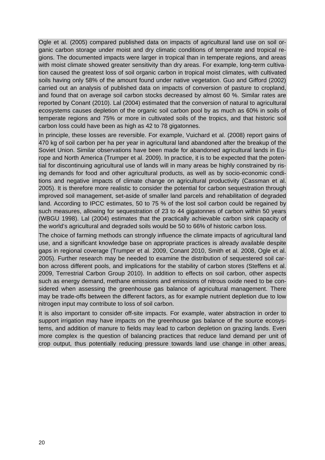Ogle et al. (2005) compared published data on impacts of agricultural land use on soil organic carbon storage under moist and dry climatic conditions of temperate and tropical regions. The documented impacts were larger in tropical than in temperate regions, and areas with moist climate showed greater sensitivity than dry areas. For example, long-term cultivation caused the greatest loss of soil organic carbon in tropical moist climates, with cultivated soils having only 58% of the amount found under native vegetation. Guo and Gifford (2002) carried out an analysis of published data on impacts of conversion of pasture to cropland, and found that on average soil carbon stocks decreased by almost 60 %. Similar rates are reported by Conant (2010). Lal (2004) estimated that the conversion of natural to agricultural ecosystems causes depletion of the organic soil carbon pool by as much as 60% in soils of temperate regions and 75% or more in cultivated soils of the tropics, and that historic soil carbon loss could have been as high as 42 to 78 gigatonnes.

In principle, these losses are reversible. For example, Vuichard et al. (2008) report gains of 470 kg of soil carbon per ha per year in agricultural land abandoned after the breakup of the Soviet Union. Similar observations have been made for abandoned agricultural lands in Europe and North America (Trumper et al. 2009). In practice, it is to be expected that the potential for discontinuing agricultural use of lands will in many areas be highly constrained by rising demands for food and other agricultural products, as well as by socio-economic conditions and negative impacts of climate change on agricultural productivity (Cassman et al. 2005). It is therefore more realistic to consider the potential for carbon sequestration through improved soil management, set-aside of smaller land parcels and rehabilitation of degraded land. According to IPCC estimates, 50 to 75 % of the lost soil carbon could be regained by such measures, allowing for sequestration of 23 to 44 gigatonnes of carbon within 50 years (WBGU 1998). Lal (2004) estimates that the practically achievable carbon sink capacity of the world's agricultural and degraded soils would be 50 to 66% of historic carbon loss.

The choice of farming methods can strongly influence the climate impacts of agricultural land use, and a significant knowledge base on appropriate practices is already available despite gaps in regional coverage (Trumper et al. 2009, Conant 2010, Smith et al. 2008, Ogle et al. 2005). Further research may be needed to examine the distribution of sequestered soil carbon across different pools, and implications for the stability of carbon stores (Steffens et al. 2009, Terrestrial Carbon Group 2010). In addition to effects on soil carbon, other aspects such as energy demand, methane emissions and emissions of nitrous oxide need to be considered when assessing the greenhouse gas balance of agricultural management. There may be trade-offs between the different factors, as for example nutrient depletion due to low nitrogen input may contribute to loss of soil carbon.

It is also important to consider off-site impacts. For example, water abstraction in order to support irrigation may have impacts on the greenhouse gas balance of the source ecosystems, and addition of manure to fields may lead to carbon depletion on grazing lands. Even more complex is the question of balancing practices that reduce land demand per unit of crop output, thus potentially reducing pressure towards land use change in other areas,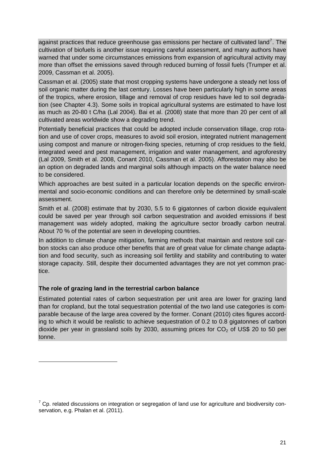against practices that reduce greenhouse gas emissions per hectare of cultivated land<sup>[7](#page-23-0)</sup>. The cultivation of biofuels is another issue requiring careful assessment, and many authors have warned that under some circumstances emissions from expansion of agricultural activity may more than offset the emissions saved through reduced burning of fossil fuels (Trumper et al. 2009, Cassman et al. 2005).

Cassman et al. (2005) state that most cropping systems have undergone a steady net loss of soil organic matter during the last century. Losses have been particularly high in some areas of the tropics, where erosion, tillage and removal of crop residues have led to soil degradation (see Chapter 4.3). Some soils in tropical agricultural systems are estimated to have lost as much as 20-80 t C/ha (Lal 2004). Bai et al. (2008) state that more than 20 per cent of all cultivated areas worldwide show a degrading trend.

Potentially beneficial practices that could be adopted include conservation tillage, crop rotation and use of cover crops, measures to avoid soil erosion, integrated nutrient management using compost and manure or nitrogen-fixing species, returning of crop residues to the field, integrated weed and pest management, irrigation and water management, and agroforestry (Lal 2009, Smith et al. 2008, Conant 2010, Cassman et al. 2005). Afforestation may also be an option on degraded lands and marginal soils although impacts on the water balance need to be considered.

Which approaches are best suited in a particular location depends on the specific environmental and socio-economic conditions and can therefore only be determined by small-scale assessment.

Smith et al. (2008) estimate that by 2030, 5.5 to 6 gigatonnes of carbon dioxide equivalent could be saved per year through soil carbon sequestration and avoided emissions if best management was widely adopted, making the agriculture sector broadly carbon neutral. About 70 % of the potential are seen in developing countries.

In addition to climate change mitigation, farming methods that maintain and restore soil carbon stocks can also produce other benefits that are of great value for climate change adaptation and food security, such as increasing soil fertility and stability and contributing to water storage capacity. Still, despite their documented advantages they are not yet common practice.

# **The role of grazing land in the terrestrial carbon balance**

-

Estimated potential rates of carbon sequestration per unit area are lower for grazing land than for cropland, but the total sequestration potential of the two land use categories is comparable because of the large area covered by the former. Conant (2010) cites figures according to which it would be realistic to achieve sequestration of 0.2 to 0.8 gigatonnes of carbon dioxide per year in grassland soils by 2030, assuming prices for  $CO<sub>2</sub>$  of US\$ 20 to 50 per tonne.

<span id="page-23-0"></span> $7$  Cp. related discussions on integration or segregation of land use for agriculture and biodiversity conservation, e.g. Phalan et al. (2011).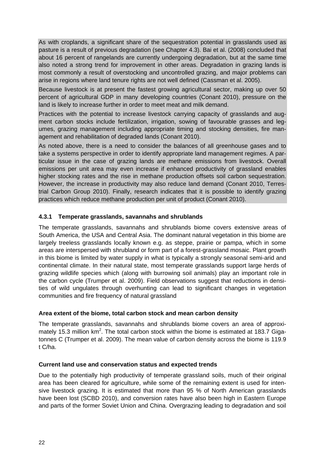As with croplands, a significant share of the sequestration potential in grasslands used as pasture is a result of previous degradation (see Chapter 4.3). Bai et al. (2008) concluded that about 16 percent of rangelands are currently undergoing degradation, but at the same time also noted a strong trend for improvement in other areas. Degradation in grazing lands is most commonly a result of overstocking and uncontrolled grazing, and major problems can arise in regions where land tenure rights are not well defined (Cassman et al. 2005).

Because livestock is at present the fastest growing agricultural sector, making up over 50 percent of agricultural GDP in many developing countries (Conant 2010), pressure on the land is likely to increase further in order to meet meat and milk demand.

Practices with the potential to increase livestock carrying capacity of grasslands and augment carbon stocks include fertilization, irrigation, sowing of favourable grasses and legumes, grazing management including appropriate timing and stocking densities, fire management and rehabilitation of degraded lands (Conant 2010).

As noted above, there is a need to consider the balances of all greenhouse gases and to take a systems perspective in order to identify appropriate land management regimes. A particular issue in the case of grazing lands are methane emissions from livestock. Overall emissions per unit area may even increase if enhanced productivity of grassland enables higher stocking rates and the rise in methane production offsets soil carbon sequestration. However, the increase in productivity may also reduce land demand (Conant 2010, Terrestrial Carbon Group 2010). Finally, research indicates that it is possible to identify grazing practices which reduce methane production per unit of product (Conant 2010).

### <span id="page-24-0"></span>**4.3.1 Temperate grasslands, savannahs and shrublands**

The temperate grasslands, savannahs and shrublands biome covers extensive areas of South America, the USA and Central Asia. The dominant natural vegetation in this biome are largely treeless grasslands locally known e.g. as steppe, prairie or pampa, which in some areas are interspersed with shrubland or form part of a forest-grassland mosaic. Plant growth in this biome is limited by water supply in what is typically a strongly seasonal semi-arid and continental climate. In their natural state, most temperate grasslands support large herds of grazing wildlife species which (along with burrowing soil animals) play an important role in the carbon cycle (Trumper et al. 2009). Field observations suggest that reductions in densities of wild ungulates through overhunting can lead to significant changes in vegetation communities and fire frequency of natural grassland

#### **Area extent of the biome, total carbon stock and mean carbon density**

The temperate grasslands, savannahs and shrublands biome covers an area of approximately 15.3 million  $km^2$ . The total carbon stock within the biome is estimated at 183.7 Gigatonnes C (Trumper et al. 2009). The mean value of carbon density across the biome is 119.9 t C/ha.

#### **Current land use and conservation status and expected trends**

Due to the potentially high productivity of temperate grassland soils, much of their original area has been cleared for agriculture, while some of the remaining extent is used for intensive livestock grazing. It is estimated that more than 95 % of North American grasslands have been lost (SCBD 2010), and conversion rates have also been high in Eastern Europe and parts of the former Soviet Union and China. Overgrazing leading to degradation and soil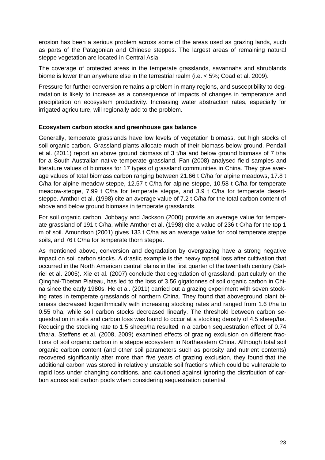erosion has been a serious problem across some of the areas used as grazing lands, such as parts of the Patagonian and Chinese steppes. The largest areas of remaining natural steppe vegetation are located in Central Asia.

The coverage of protected areas in the temperate grasslands, savannahs and shrublands biome is lower than anywhere else in the terrestrial realm (i.e. < 5%; Coad et al. 2009).

Pressure for further conversion remains a problem in many regions, and susceptibility to degradation is likely to increase as a consequence of impacts of changes in temperature and precipitation on ecosystem productivity. Increasing water abstraction rates, especially for irrigated agriculture, will regionally add to the problem.

#### **Ecosystem carbon stocks and greenhouse gas balance**

Generally, temperate grasslands have low levels of vegetation biomass, but high stocks of soil organic carbon. Grassland plants allocate much of their biomass below ground. Pendall et al. (2011) report an above ground biomass of 3 t/ha and below ground biomass of 7 t/ha for a South Australian native temperate grassland. Fan (2008) analysed field samples and literature values of biomass for 17 types of grassland communities in China. They give average values of total biomass carbon ranging between 21.66 t C/ha for alpine meadows, 17.8 t C/ha for alpine meadow-steppe, 12.57 t C/ha for alpine steppe, 10.58 t C/ha for temperate meadow-steppe, 7.99 t C/ha for temperate steppe, and 3.9 t C/ha for temperate desertsteppe. Amthor et al. (1998) cite an average value of 7.2 t C/ha for the total carbon content of above and below ground biomass in temperate grasslands.

For soil organic carbon, Jobbagy and Jackson (2000) provide an average value for temperate grassland of 191 t C/ha, while Amthor et al. (1998) cite a value of 236 t C/ha for the top 1 m of soil. Amundson (2001) gives 133 t C/ha as an average value for cool temperate steppe soils, and 76 t C/ha for temperate thorn steppe.

As mentioned above, conversion and degradation by overgrazing have a strong negative impact on soil carbon stocks. A drastic example is the heavy topsoil loss after cultivation that occurred in the North American central plains in the first quarter of the twentieth century (Safriel et al. 2005). Xie et al. (2007) conclude that degradation of grassland, particularly on the Qinghai-Tibetan Plateau, has led to the loss of 3.56 gigatonnes of soil organic carbon in China since the early 1980s. He et al. (2011) carried out a grazing experiment with seven stocking rates in temperate grasslands of northern China. They found that aboveground plant biomass decreased logarithmically with increasing stocking rates and ranged from 1.6 t/ha to 0.55 t/ha, while soil carbon stocks decreased linearly. The threshold between carbon sequestration in soils and carbon loss was found to occur at a stocking density of 4.5 sheep/ha. Reducing the stocking rate to 1.5 sheep/ha resulted in a carbon sequestration effect of 0.74 t/ha\*a. Steffens et al. (2008, 2009) examined effects of grazing exclusion on different fractions of soil organic carbon in a steppe ecosystem in Northeastern China. Although total soil organic carbon content (and other soil parameters such as porosity and nutrient contents) recovered significantly after more than five years of grazing exclusion, they found that the additional carbon was stored in relatively unstable soil fractions which could be vulnerable to rapid loss under changing conditions, and cautioned against ignoring the distribution of carbon across soil carbon pools when considering sequestration potential.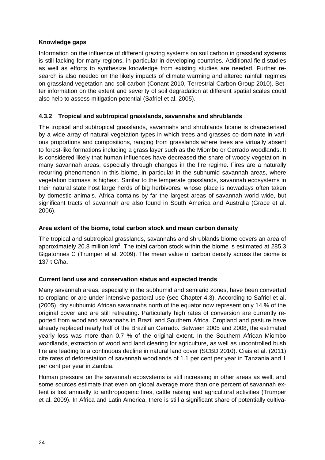# **Knowledge gaps**

Information on the influence of different grazing systems on soil carbon in grassland systems is still lacking for many regions, in particular in developing countries. Additional field studies as well as efforts to synthesize knowledge from existing studies are needed. Further research is also needed on the likely impacts of climate warming and altered rainfall regimes on grassland vegetation and soil carbon (Conant 2010, Terrestrial Carbon Group 2010). Better information on the extent and severity of soil degradation at different spatial scales could also help to assess mitigation potential (Safriel et al. 2005).

# <span id="page-26-0"></span>**4.3.2 Tropical and subtropical grasslands, savannahs and shrublands**

The tropical and subtropical grasslands, savannahs and shrublands biome is characterised by a wide array of natural vegetation types in which trees and grasses co-dominate in various proportions and compositions, ranging from grasslands where trees are virtually absent to forest-like formations including a grass layer such as the Miombo or Cerrado woodlands. It is considered likely that human influences have decreased the share of woody vegetation in many savannah areas, especially through changes in the fire regime. Fires are a naturally recurring phenomenon in this biome, in particular in the subhumid savannah areas, where vegetation biomass is highest. Similar to the temperate grasslands, savannah ecosystems in their natural state host large herds of big herbivores, whose place is nowadays often taken by domestic animals. Africa contains by far the largest areas of savannah world wide, but significant tracts of savannah are also found in South America and Australia (Grace et al. 2006).

#### **Area extent of the biome, total carbon stock and mean carbon density**

The tropical and subtropical grasslands, savannahs and shrublands biome covers an area of approximately 20.8 million  $km^2$ . The total carbon stock within the biome is estimated at 285.3 Gigatonnes C (Trumper et al. 2009). The mean value of carbon density across the biome is 137 t C/ha.

#### **Current land use and conservation status and expected trends**

Many savannah areas, especially in the subhumid and semiarid zones, have been converted to cropland or are under intensive pastoral use (see Chapter 4.3). According to Safriel et al. (2005), dry subhumid African savannahs north of the equator now represent only 14 % of the original cover and are still retreating. Particularly high rates of conversion are currently reported from woodland savannahs in Brazil and Southern Africa. Cropland and pasture have already replaced nearly half of the Brazilian Cerrado. Between 2005 and 2008, the estimated yearly loss was more than 0.7 % of the original extent. In the Southern African Miombo woodlands, extraction of wood and land clearing for agriculture, as well as uncontrolled bush fire are leading to a continuous decline in natural land cover (SCBD 2010). Ciais et al. (2011) cite rates of deforestation of savannah woodlands of 1.1 per cent per year in Tanzania and 1 per cent per year in Zambia.

Human pressure on the savannah ecosystems is still increasing in other areas as well, and some sources estimate that even on global average more than one percent of savannah extent is lost annually to anthropogenic fires, cattle raising and agricultural activities (Trumper et al. 2009). In Africa and Latin America, there is still a significant share of potentially cultiva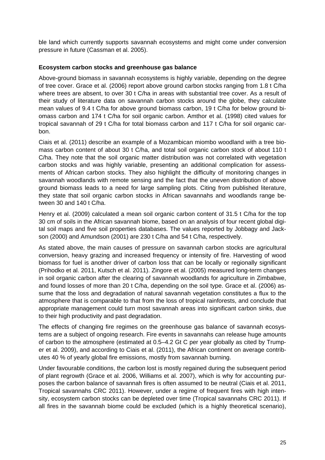ble land which currently supports savannah ecosystems and might come under conversion pressure in future (Cassman et al. 2005).

### **Ecosystem carbon stocks and greenhouse gas balance**

Above-ground biomass in savannah ecosystems is highly variable, depending on the degree of tree cover. Grace et al. (2006) report above ground carbon stocks ranging from 1.8 t C/ha where trees are absent, to over 30 t C/ha in areas with substantial tree cover. As a result of their study of literature data on savannah carbon stocks around the globe, they calculate mean values of 9.4 t C/ha for above ground biomass carbon, 19 t C/ha for below ground biomass carbon and 174 t C/ha for soil organic carbon. Amthor et al. (1998) cited values for tropical savannah of 29 t C/ha for total biomass carbon and 117 t C/ha for soil organic carbon.

Ciais et al. (2011) describe an example of a Mozambican miombo woodland with a tree biomass carbon content of about 30 t C/ha, and total soil organic carbon stock of about 110 t C/ha. They note that the soil organic matter distribution was not correlated with vegetation carbon stocks and was highly variable, presenting an additional complication for assessments of African carbon stocks. They also highlight the difficulty of monitoring changes in savannah woodlands with remote sensing and the fact that the uneven distribution of above ground biomass leads to a need for large sampling plots. Citing from published literature, they state that soil organic carbon stocks in African savannahs and woodlands range between 30 and 140 t C/ha.

Henry et al. (2009) calculated a mean soil organic carbon content of 31.5 t C/ha for the top 30 cm of soils in the African savannah biome, based on an analysis of four recent global digital soil maps and five soil properties databases. The values reported by Jobbagy and Jackson (2000) and Amundson (2001) are 230 t C/ha and 54 t C/ha, respectively.

As stated above, the main causes of pressure on savannah carbon stocks are agricultural conversion, heavy grazing and increased frequency or intensity of fire. Harvesting of wood biomass for fuel is another driver of carbon loss that can be locally or regionally significant (Prihodko et al. 2011, Kutsch et al. 2011). Zingore et al. (2005) measured long-term changes in soil organic carbon after the clearing of savannah woodlands for agriculture in Zimbabwe, and found losses of more than 20 t C/ha, depending on the soil type. Grace et al. (2006) assume that the loss and degradation of natural savannah vegetation constitutes a flux to the atmosphere that is comparable to that from the loss of tropical rainforests, and conclude that appropriate management could turn most savannah areas into significant carbon sinks, due to their high productivity and past degradation.

The effects of changing fire regimes on the greenhouse gas balance of savannah ecosystems are a subject of ongoing research. Fire events in savannahs can release huge amounts of carbon to the atmosphere (estimated at 0.5–4.2 Gt C per year globally as cited by Trumper et al. 2009), and according to Ciais et al. (2011), the African continent on average contributes 40 % of yearly global fire emissions, mostly from savannah burning.

Under favourable conditions, the carbon lost is mostly regained during the subsequent period of plant regrowth (Grace et al. 2006, Williams et al. 2007), which is why for accounting purposes the carbon balance of savannah fires is often assumed to be neutral (Ciais et al. 2011, Tropical savannahs CRC 2011). However, under a regime of frequent fires with high intensity, ecosystem carbon stocks can be depleted over time (Tropical savannahs CRC 2011). If all fires in the savannah biome could be excluded (which is a highly theoretical scenario),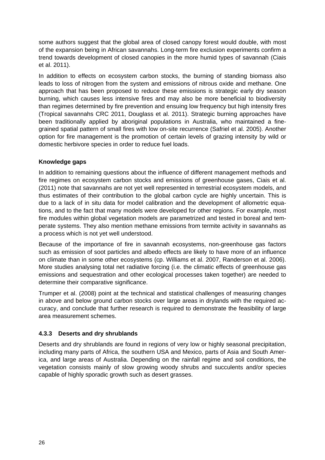some authors suggest that the global area of closed canopy forest would double, with most of the expansion being in African savannahs. Long-term fire exclusion experiments confirm a trend towards development of closed canopies in the more humid types of savannah (Ciais et al. 2011).

In addition to effects on ecosystem carbon stocks, the burning of standing biomass also leads to loss of nitrogen from the system and emissions of nitrous oxide and methane. One approach that has been proposed to reduce these emissions is strategic early dry season burning, which causes less intensive fires and may also be more beneficial to biodiversity than regimes determined by fire prevention and ensuing low frequency but high intensity fires (Tropical savannahs CRC 2011, Douglass et al. 2011). Strategic burning approaches have been traditionally applied by aboriginal populations in Australia, who maintained a finegrained spatial pattern of small fires with low on-site recurrence (Safriel et al. 2005). Another option for fire management is the promotion of certain levels of grazing intensity by wild or domestic herbivore species in order to reduce fuel loads.

# **Knowledge gaps**

In addition to remaining questions about the influence of different management methods and fire regimes on ecosystem carbon stocks and emissions of greenhouse gases, Ciais et al. (2011) note that savannahs are not yet well represented in terrestrial ecosystem models, and thus estimates of their contribution to the global carbon cycle are highly uncertain. This is due to a lack of in situ data for model calibration and the development of allometric equations, and to the fact that many models were developed for other regions. For example, most fire modules within global vegetation models are parametrized and tested in boreal and temperate systems. They also mention methane emissions from termite activity in savannahs as a process which is not yet well understood.

Because of the importance of fire in savannah ecosystems, non-greenhouse gas factors such as emission of soot particles and albedo effects are likely to have more of an influence on climate than in some other ecosystems (cp. Williams et al. 2007, Randerson et al. 2006). More studies analysing total net radiative forcing (i.e. the climatic effects of greenhouse gas emissions and sequestration and other ecological processes taken together) are needed to determine their comparative significance.

Trumper et al. (2008) point at the technical and statistical challenges of measuring changes in above and below ground carbon stocks over large areas in drylands with the required accuracy, and conclude that further research is required to demonstrate the feasibility of large area measurement schemes.

# <span id="page-28-0"></span>**4.3.3 Deserts and dry shrublands**

Deserts and dry shrublands are found in regions of very low or highly seasonal precipitation, including many parts of Africa, the southern USA and Mexico, parts of Asia and South America, and large areas of Australia. Depending on the rainfall regime and soil conditions, the vegetation consists mainly of slow growing woody shrubs and succulents and/or species capable of highly sporadic growth such as desert grasses.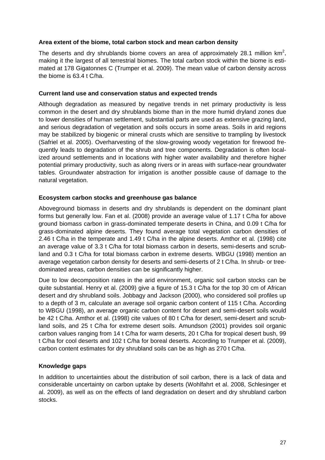#### **Area extent of the biome, total carbon stock and mean carbon density**

The deserts and dry shrublands biome covers an area of approximately 28.1 million  $km^2$ , making it the largest of all terrestrial biomes. The total carbon stock within the biome is estimated at 178 Gigatonnes C (Trumper et al. 2009). The mean value of carbon density across the biome is 63.4 t C/ha.

#### **Current land use and conservation status and expected trends**

Although degradation as measured by negative trends in net primary productivity is less common in the desert and dry shrublands biome than in the more humid dryland zones due to lower densities of human settlement, substantial parts are used as extensive grazing land, and serious degradation of vegetation and soils occurs in some areas. Soils in arid regions may be stabilized by biogenic or mineral crusts which are sensitive to trampling by livestock (Safriel et al. 2005). Overharvesting of the slow-growing woody vegetation for firewood frequently leads to degradation of the shrub and tree components. Degradation is often localized around settlements and in locations with higher water availability and therefore higher potential primary productivity, such as along rivers or in areas with surface-near groundwater tables. Groundwater abstraction for irrigation is another possible cause of damage to the natural vegetation.

### **Ecosystem carbon stocks and greenhouse gas balance**

Aboveground biomass in deserts and dry shrublands is dependent on the dominant plant forms but generally low. Fan et al. (2008) provide an average value of 1.17 t C/ha for above ground biomass carbon in grass-dominated temperate deserts in China, and 0.09 t C/ha for grass-dominated alpine deserts. They found average total vegetation carbon densities of 2.46 t C/ha in the temperate and 1.49 t C/ha in the alpine deserts. Amthor et al. (1998) cite an average value of 3.3 t C/ha for total biomass carbon in deserts, semi-deserts and scrubland and 0.3 t C/ha for total biomass carbon in extreme deserts. WBGU (1998) mention an average vegetation carbon density for deserts and semi-deserts of 2 t C/ha. In shrub- or treedominated areas, carbon densities can be significantly higher.

Due to low decomposition rates in the arid environment, organic soil carbon stocks can be quite substantial. Henry et al. (2009) give a figure of 15.3 t C/ha for the top 30 cm of African desert and dry shrubland soils. Jobbagy and Jackson (2000), who considered soil profiles up to a depth of 3 m, calculate an average soil organic carbon content of 115 t C/ha. According to WBGU (1998), an average organic carbon content for desert and semi-desert soils would be 42 t C/ha. Amthor et al. (1998) cite values of 80 t C/ha for desert, semi-desert and scrubland soils, and 25 t C/ha for extreme desert soils. Amundson (2001) provides soil organic carbon values ranging from 14 t C/ha for warm deserts, 20 t C/ha for tropical desert bush, 99 t C/ha for cool deserts and 102 t C/ha for boreal deserts. According to Trumper et al. (2009), carbon content estimates for dry shrubland soils can be as high as 270 t C/ha.

# **Knowledge gaps**

In addition to uncertainties about the distribution of soil carbon, there is a lack of data and considerable uncertainty on carbon uptake by deserts (Wohlfahrt et al. 2008, Schlesinger et al. 2009), as well as on the effects of land degradation on desert and dry shrubland carbon stocks.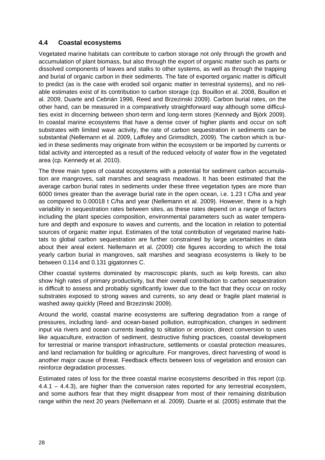# <span id="page-30-0"></span>**4.4 Coastal ecosystems**

Vegetated marine habitats can contribute to carbon storage not only through the growth and accumulation of plant biomass, but also through the export of organic matter such as parts or dissolved components of leaves and stalks to other systems, as well as through the trapping and burial of organic carbon in their sediments. The fate of exported organic matter is difficult to predict (as is the case with eroded soil organic matter in terrestrial systems), and no reliable estimates exist of its contribution to carbon storage (cp. Bouillon et al. 2008, Bouillon et al. 2009, Duarte and Cebrián 1996, Reed and Brzezinski 2009). Carbon burial rates, on the other hand, can be measured in a comparatively straightforward way although some difficulties exist in discerning between short-term and long-term stores (Kennedy and Björk 2009). In coastal marine ecosystems that have a dense cover of higher plants and occur on soft substrates with limited wave activity, the rate of carbon sequestration in sediments can be substantial (Nellemann et al. 2009, Laffoley and Grimsditch, 2009). The carbon which is buried in these sediments may originate from within the ecosystem or be imported by currents or tidal activity and intercepted as a result of the reduced velocity of water flow in the vegetated area (cp. Kennedy et al. 2010).

The three main types of coastal ecosystems with a potential for sediment carbon accumulation are mangroves, salt marshes and seagrass meadows. It has been estimated that the average carbon burial rates in sediments under these three vegetation types are more than 6000 times greater than the average burial rate in the open ocean, i.e. 1.23 t C/ha and year as compared to 0.00018 t C/ha and year (Nellemann et al. 2009). However, there is a high variability in sequestration rates between sites, as these rates depend on a range of factors including the plant species composition, environmental parameters such as water temperature and depth and exposure to waves and currents, and the location in relation to potential sources of organic matter input. Estimates of the total contribution of vegetated marine habitats to global carbon sequestration are further constrained by large uncertainties in data about their areal extent. Nellemann et al. (2009) cite figures according to which the total yearly carbon burial in mangroves, salt marshes and seagrass ecosystems is likely to be between 0.114 and 0.131 gigatonnes C.

Other coastal systems dominated by macroscopic plants, such as kelp forests, can also show high rates of primary productivity, but their overall contribution to carbon sequestration is difficult to assess and probably significantly lower due to the fact that they occur on rocky substrates exposed to strong waves and currents, so any dead or fragile plant material is washed away quickly (Reed and Brzezinski 2009).

Around the world, coastal marine ecosystems are suffering degradation from a range of pressures, including land- and ocean-based pollution, eutrophication, changes in sediment input via rivers and ocean currents leading to siltation or erosion, direct conversion to uses like aquaculture, extraction of sediment, destructive fishing practices, coastal development for terrestrial or marine transport infrastructure, settlements or coastal protection measures, and land reclamation for building or agriculture. For mangroves, direct harvesting of wood is another major cause of threat. Feedback effects between loss of vegetation and erosion can reinforce degradation processes.

Estimated rates of loss for the three coastal marine ecosystems described in this report (cp.  $4.4.1 - 4.4.3$ ), are higher than the conversion rates reported for any terrestrial ecosystem. and some authors fear that they might disappear from most of their remaining distribution range within the next 20 years (Nellemann et al. 2009). Duarte et al. (2005) estimate that the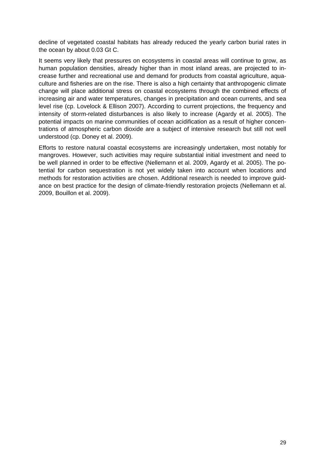decline of vegetated coastal habitats has already reduced the yearly carbon burial rates in the ocean by about 0.03 Gt C.

It seems very likely that pressures on ecosystems in coastal areas will continue to grow, as human population densities, already higher than in most inland areas, are projected to increase further and recreational use and demand for products from coastal agriculture, aquaculture and fisheries are on the rise. There is also a high certainty that anthropogenic climate change will place additional stress on coastal ecosystems through the combined effects of increasing air and water temperatures, changes in precipitation and ocean currents, and sea level rise (cp. Lovelock & Ellison 2007). According to current projections, the frequency and intensity of storm-related disturbances is also likely to increase (Agardy et al. 2005). The potential impacts on marine communities of ocean acidification as a result of higher concentrations of atmospheric carbon dioxide are a subject of intensive research but still not well understood (cp. Doney et al. 2009).

Efforts to restore natural coastal ecosystems are increasingly undertaken, most notably for mangroves. However, such activities may require substantial initial investment and need to be well planned in order to be effective (Nellemann et al. 2009, Agardy et al. 2005). The potential for carbon sequestration is not yet widely taken into account when locations and methods for restoration activities are chosen. Additional research is needed to improve guidance on best practice for the design of climate-friendly restoration projects (Nellemann et al. 2009, Bouillon et al. 2009).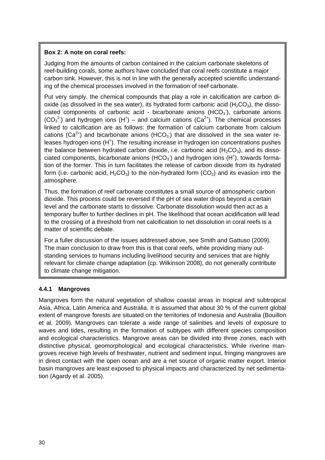# **Box 2: A note on coral reefs:**

Judging from the amounts of carbon contained in the calcium carbonate skeletons of reef-building corals, some authors have concluded that coral reefs constitute a major carbon sink. However, this is not in line with the generally accepted scientific understanding of the chemical processes involved in the formation of reef carbonate.

Put very simply, the chemical compounds that play a role in calcification are carbon dioxide (as dissolved in the sea water), its hydrated form carbonic acid  $(H_2CO_3)$ , the dissociated components of carbonic acid - bicarbonate anions  $(HCO<sub>3</sub>)$ , carbonate anions  $(CO_3^2)$  and hydrogen ions (H<sup>+</sup>) – and calcium cations (Ca<sup>2+</sup>). The chemical processes linked to calcification are as follows: the formation of calcium carbonate from calcium cations (Ca<sup>2+</sup>) and bicarbonate anions (HCO<sub>3</sub>) that are dissolved in the sea water releases hydrogen ions (H<sup>+</sup>). The resulting increase in hydrogen ion concentrations pushes the balance between hydrated carbon dioxide, i.e. carbonic acid  $(H<sub>2</sub>CO<sub>3</sub>)$ , and its dissociated components, bicarbonate anions (HCO<sub>3</sub><sup>-</sup>) and hydrogen ions (H<sup>+</sup>), towards formation of the former. This in turn facilitates the release of carbon dioxide from its hydrated form (i.e. carbonic acid,  $H_2CO_3$ ) to the non-hydrated form (CO<sub>2</sub>) and its evasion into the atmosphere.

Thus, the formation of reef carbonate constitutes a small source of atmospheric carbon dioxide. This process could be reversed if the pH of sea water drops beyond a certain level and the carbonate starts to dissolve. Carbonate dissolution would then act as a temporary buffer to further declines in pH. The likelihood that ocean acidification will lead to the crossing of a threshold from net calcification to net dissolution in coral reefs is a matter of scientific debate.

For a fuller discussion of the issues addressed above, see Smith and Gattuso (2009). The main conclusion to draw from this is that coral reefs, while providing many outstanding services to humans including livelihood security and services that are highly relevant for climate change adaptation (cp. Wilkinson 2008), do not generally contribute to climate change mitigation.

# <span id="page-32-0"></span>**4.4.1 Mangroves**

Mangroves form the natural vegetation of shallow coastal areas in tropical and subtropical Asia, Africa, Latin America and Australia. It is assumed that about 30 % of the current global extent of mangrove forests are situated on the territories of Indonesia and Australia (Bouillon et al. 2009). Mangroves can tolerate a wide range of salinities and levels of exposure to waves and tides, resulting in the formation of subtypes with different species composition and ecological characteristics. Mangrove areas can be divided into three zones, each with distinctive physical, geomorphological and ecological characteristics. While riverine mangroves receive high levels of freshwater, nutrient and sediment input, fringing mangroves are in direct contact with the open ocean and are a net source of organic matter export. Interior basin mangroves are least exposed to physical impacts and characterized by net sedimentation (Agardy et al. 2005).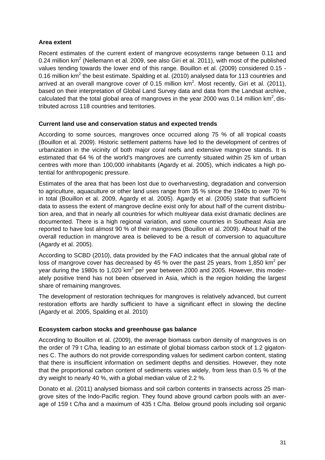# **Area extent**

Recent estimates of the current extent of mangrove ecosystems range between 0.11 and 0.24 million  $km^2$  (Nellemann et al. 2009, see also Giri et al. 2011), with most of the published values tending towards the lower end of this range. Bouillon et al. (2009) considered 0.15 - 0.16 million  $km^2$  the best estimate. Spalding et al. (2010) analysed data for 113 countries and arrived at an overall mangrove cover of 0.15 million  $km^2$ . Most recently, Giri et al. (2011), based on their interpretation of Global Land Survey data and data from the Landsat archive, calculated that the total global area of mangroves in the year 2000 was 0.14 million  $km^2$ , distributed across 118 countries and territories.

# **Current land use and conservation status and expected trends**

According to some sources, mangroves once occurred along 75 % of all tropical coasts (Bouillon et al. 2009). Historic settlement patterns have led to the development of centres of urbanization in the vicinity of both major coral reefs and extensive mangrove stands. It is estimated that 64 % of the world's mangroves are currently situated within 25 km of urban centres with more than 100,000 inhabitants (Agardy et al. 2005), which indicates a high potential for anthropogenic pressure.

Estimates of the area that has been lost due to overharvesting, degradation and conversion to agriculture, aquaculture or other land uses range from 35 % since the 1940s to over 70 % in total (Bouillon et al. 2009, Agardy et al. 2005). Agardy et al. (2005) state that sufficient data to assess the extent of mangrove decline exist only for about half of the current distribution area, and that in nearly all countries for which multiyear data exist dramatic declines are documented. There is a high regional variation, and some countries in Southeast Asia are reported to have lost almost 90 % of their mangroves (Bouillon et al. 2009). About half of the overall reduction in mangrove area is believed to be a result of conversion to aquaculture (Agardy et al. 2005).

According to SCBD (2010), data provided by the FAO indicates that the annual global rate of loss of mangrove cover has decreased by 45 % over the past 25 years, from 1,850 km<sup>2</sup> per year during the 1980s to 1,020 km<sup>2</sup> per year between 2000 and 2005. However, this moderately positive trend has not been observed in Asia, which is the region holding the largest share of remaining mangroves.

The development of restoration techniques for mangroves is relatively advanced, but current restoration efforts are hardly sufficient to have a significant effect in slowing the decline (Agardy et al. 2005, Spalding et al. 2010)

# **Ecosystem carbon stocks and greenhouse gas balance**

According to Bouillon et al. (2009), the average biomass carbon density of mangroves is on the order of 79 t C/ha, leading to an estimate of global biomass carbon stock of 1.2 gigatonnes C. The authors do not provide corresponding values for sediment carbon content, stating that there is insufficient information on sediment depths and densities. However, they note that the proportional carbon content of sediments varies widely, from less than 0.5 % of the dry weight to nearly 40 %, with a global median value of 2.2 %.

Donato et al. (2011) analysed biomass and soil carbon contents in transects across 25 mangrove sites of the Indo-Pacific region. They found above ground carbon pools with an average of 159 t C/ha and a maximum of 435 t C/ha. Below ground pools including soil organic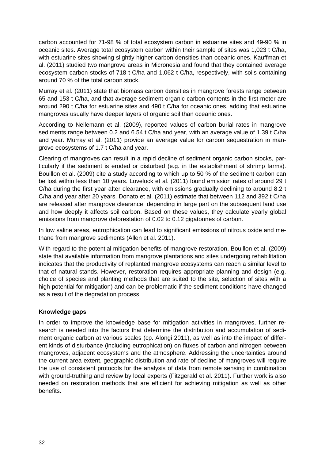carbon accounted for 71-98 % of total ecosystem carbon in estuarine sites and 49-90 % in oceanic sites. Average total ecosystem carbon within their sample of sites was 1,023 t C/ha, with estuarine sites showing slightly higher carbon densities than oceanic ones. Kauffman et al. (2011) studied two mangrove areas in Micronesia and found that they contained average ecosystem carbon stocks of 718 t C/ha and 1,062 t C/ha, respectively, with soils containing around 70 % of the total carbon stock.

Murray et al. (2011) state that biomass carbon densities in mangrove forests range between 65 and 153 t C/ha, and that average sediment organic carbon contents in the first meter are around 290 t C/ha for estuarine sites and 490 t C/ha for oceanic ones, adding that estuarine mangroves usually have deeper layers of organic soil than oceanic ones.

According to Nellemann et al. (2009), reported values of carbon burial rates in mangrove sediments range between 0.2 and 6.54 t C/ha and year, with an average value of 1.39 t C/ha and year. Murray et al. (2011) provide an average value for carbon sequestration in mangrove ecosystems of 1.7 t C/ha and year.

Clearing of mangroves can result in a rapid decline of sediment organic carbon stocks, particularly if the sediment is eroded or disturbed (e.g. in the establishment of shrimp farms). Bouillon et al. (2009) cite a study according to which up to 50 % of the sediment carbon can be lost within less than 10 years. Lovelock et al. (2011) found emission rates of around 29 t C/ha during the first year after clearance, with emissions gradually declining to around 8.2 t C/ha and year after 20 years. Donato et al. (2011) estimate that between 112 and 392 t C/ha are released after mangrove clearance, depending in large part on the subsequent land use and how deeply it affects soil carbon. Based on these values, they calculate yearly global emissions from mangrove deforestation of 0.02 to 0.12 gigatonnes of carbon.

In low saline areas, eutrophication can lead to significant emissions of nitrous oxide and methane from mangrove sediments (Allen et al. 2011).

With regard to the potential mitigation benefits of mangrove restoration, Bouillon et al. (2009) state that available information from mangrove plantations and sites undergoing rehabilitation indicates that the productivity of replanted mangrove ecosystems can reach a similar level to that of natural stands. However, restoration requires appropriate planning and design (e.g. choice of species and planting methods that are suited to the site, selection of sites with a high potential for mitigation) and can be problematic if the sediment conditions have changed as a result of the degradation process.

# **Knowledge gaps**

In order to improve the knowledge base for mitigation activities in mangroves, further research is needed into the factors that determine the distribution and accumulation of sediment organic carbon at various scales (cp. Alongi 2011), as well as into the impact of different kinds of disturbance (including eutrophication) on fluxes of carbon and nitrogen between mangroves, adjacent ecosystems and the atmosphere. Addressing the uncertainties around the current area extent, geographic distribution and rate of decline of mangroves will require the use of consistent protocols for the analysis of data from remote sensing in combination with ground-truthing and review by local experts (Fitzgerald et al. 2011). Further work is also needed on restoration methods that are efficient for achieving mitigation as well as other benefits.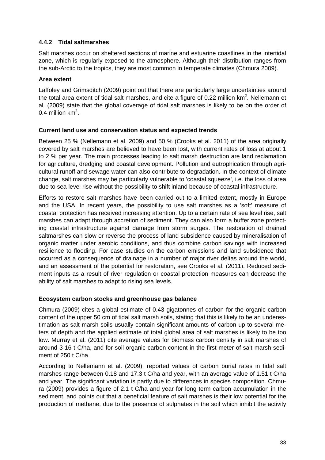# <span id="page-35-0"></span>**4.4.2 Tidal saltmarshes**

Salt marshes occur on sheltered sections of marine and estuarine coastlines in the intertidal zone, which is regularly exposed to the atmosphere. Although their distribution ranges from the sub-Arctic to the tropics, they are most common in temperate climates (Chmura 2009).

## **Area extent**

Laffoley and Grimsditch (2009) point out that there are particularly large uncertainties around the total area extent of tidal salt marshes, and cite a figure of 0.22 million  $km^2$ . Nellemann et al. (2009) state that the global coverage of tidal salt marshes is likely to be on the order of 0.4 million  $km^2$ .

### **Current land use and conservation status and expected trends**

Between 25 % (Nellemann et al. 2009) and 50 % (Crooks et al. 2011) of the area originally covered by salt marshes are believed to have been lost, with current rates of loss at about 1 to 2 % per year. The main processes leading to salt marsh destruction are land reclamation for agriculture, dredging and coastal development. Pollution and eutrophication through agricultural runoff and sewage water can also contribute to degradation. In the context of climate change, salt marshes may be particularly vulnerable to 'coastal squeeze', i.e. the loss of area due to sea level rise without the possibility to shift inland because of coastal infrastructure.

Efforts to restore salt marshes have been carried out to a limited extent, mostly in Europe and the USA. In recent years, the possibility to use salt marshes as a 'soft' measure of coastal protection has received increasing attention. Up to a certain rate of sea level rise, salt marshes can adapt through accretion of sediment. They can also form a buffer zone protecting coastal infrastructure against damage from storm surges. The restoration of drained saltmarshes can slow or reverse the process of land subsidence caused by mineralisation of organic matter under aerobic conditions, and thus combine carbon savings with increased resilience to flooding. For case studies on the carbon emissions and land subsidence that occurred as a consequence of drainage in a number of major river deltas around the world, and an assessment of the potential for restoration, see Crooks et al. (2011). Reduced sediment inputs as a result of river regulation or coastal protection measures can decrease the ability of salt marshes to adapt to rising sea levels.

# **Ecosystem carbon stocks and greenhouse gas balance**

Chmura (2009) cites a global estimate of 0.43 gigatonnes of carbon for the organic carbon content of the upper 50 cm of tidal salt marsh soils, stating that this is likely to be an underestimation as salt marsh soils usually contain significant amounts of carbon up to several meters of depth and the applied estimate of total global area of salt marshes is likely to be too low. Murray et al. (2011) cite average values for biomass carbon density in salt marshes of around 3-16 t C/ha, and for soil organic carbon content in the first meter of salt marsh sediment of 250 t C/ha.

According to Nellemann et al. (2009), reported values of carbon burial rates in tidal salt marshes range between 0.18 and 17.3 t C/ha and year, with an average value of 1.51 t C/ha and year. The significant variation is partly due to differences in species composition. Chmura (2009) provides a figure of 2.1 t C/ha and year for long term carbon accumulation in the sediment, and points out that a beneficial feature of salt marshes is their low potential for the production of methane, due to the presence of sulphates in the soil which inhibit the activity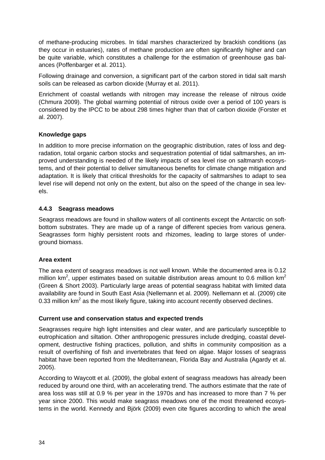of methane-producing microbes. In tidal marshes characterized by brackish conditions (as they occur in estuaries), rates of methane production are often significantly higher and can be quite variable, which constitutes a challenge for the estimation of greenhouse gas balances (Poffenbarger et al. 2011).

Following drainage and conversion, a significant part of the carbon stored in tidal salt marsh soils can be released as carbon dioxide (Murray et al. 2011).

Enrichment of coastal wetlands with nitrogen may increase the release of nitrous oxide (Chmura 2009). The global warming potential of nitrous oxide over a period of 100 years is considered by the IPCC to be about 298 times higher than that of carbon dioxide (Forster et al. 2007).

### **Knowledge gaps**

In addition to more precise information on the geographic distribution, rates of loss and degradation, total organic carbon stocks and sequestration potential of tidal saltmarshes, an improved understanding is needed of the likely impacts of sea level rise on saltmarsh ecosystems, and of their potential to deliver simultaneous benefits for climate change mitigation and adaptation. It is likely that critical thresholds for the capacity of saltmarshes to adapt to sea level rise will depend not only on the extent, but also on the speed of the change in sea levels.

### <span id="page-36-0"></span>**4.4.3 Seagrass meadows**

Seagrass meadows are found in shallow waters of all continents except the Antarctic on softbottom substrates. They are made up of a range of different species from various genera. Seagrasses form highly persistent roots and rhizomes, leading to large stores of underground biomass.

#### **Area extent**

The area extent of seagrass meadows is not well known. While the documented area is 0.12 million km<sup>2</sup>, upper estimates based on suitable distribution areas amount to 0.6 million km<sup>2</sup> (Green & Short 2003). Particularly large areas of potential seagrass habitat with limited data availability are found in South East Asia (Nellemann et al. 2009). Nellemann et al. (2009) cite 0.33 million  $km^2$  as the most likely figure, taking into account recently observed declines.

# **Current use and conservation status and expected trends**

Seagrasses require high light intensities and clear water, and are particularly susceptible to eutrophication and siltation. Other anthropogenic pressures include dredging, coastal development, destructive fishing practices, pollution, and shifts in community composition as a result of overfishing of fish and invertebrates that feed on algae. Major losses of seagrass habitat have been reported from the Mediterranean, Florida Bay and Australia (Agardy et al. 2005).

According to Waycott et al. (2009), the global extent of seagrass meadows has already been reduced by around one third, with an accelerating trend. The authors estimate that the rate of area loss was still at 0.9 % per year in the 1970s and has increased to more than 7 % per year since 2000. This would make seagrass meadows one of the most threatened ecosystems in the world. Kennedy and Björk (2009) even cite figures according to which the areal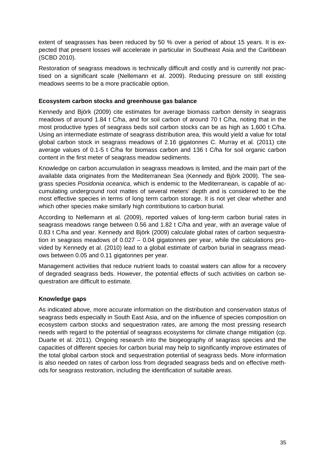extent of seagrasses has been reduced by 50 % over a period of about 15 years. It is expected that present losses will accelerate in particular in Southeast Asia and the Caribbean (SCBD 2010).

Restoration of seagrass meadows is technically difficult and costly and is currently not practised on a significant scale (Nellemann et al. 2009). Reducing pressure on still existing meadows seems to be a more practicable option.

#### **Ecosystem carbon stocks and greenhouse gas balance**

Kennedy and Björk (2009) cite estimates for average biomass carbon density in seagrass meadows of around 1.84 t C/ha, and for soil carbon of around 70 t C/ha, noting that in the most productive types of seagrass beds soil carbon stocks can be as high as 1,600 t C/ha. Using an intermediate estimate of seagrass distribution area, this would yield a value for total global carbon stock in seagrass meadows of 2.16 gigatonnes C. Murray et al. (2011) cite average values of 0.1-5 t C/ha for biomass carbon and 136 t C/ha for soil organic carbon content in the first meter of seagrass meadow sediments.

Knowledge on carbon accumulation in seagrass meadows is limited, and the main part of the available data originates from the Mediterranean Sea (Kennedy and Björk 2009). The seagrass species *Posidonia oceanica*, which is endemic to the Mediterranean, is capable of accumulating underground root mattes of several meters' depth and is considered to be the most effective species in terms of long term carbon storage. It is not yet clear whether and which other species make similarly high contributions to carbon burial.

According to Nellemann et al. (2009), reported values of long-term carbon burial rates in seagrass meadows range between 0.56 and 1.82 t C/ha and year, with an average value of 0.83 t C/ha and year. Kennedy and Björk (2009) calculate global rates of carbon sequestration in seagrass meadows of 0.027 – 0.04 gigatonnes per year, while the calculations provided by Kennedy et al. (2010) lead to a global estimate of carbon burial in seagrass meadows between 0.05 and 0.11 gigatonnes per year.

Management activities that reduce nutrient loads to coastal waters can allow for a recovery of degraded seagrass beds. However, the potential effects of such activities on carbon sequestration are difficult to estimate.

# **Knowledge gaps**

As indicated above, more accurate information on the distribution and conservation status of seagrass beds especially in South East Asia, and on the influence of species composition on ecosystem carbon stocks and sequestration rates, are among the most pressing research needs with regard to the potential of seagrass ecosystems for climate change mitigation (cp. Duarte et al. 2011). Ongoing research into the biogeography of seagrass species and the capacities of different species for carbon burial may help to significantly improve estimates of the total global carbon stock and sequestration potential of seagrass beds. More information is also needed on rates of carbon loss from degraded seagrass beds and on effective methods for seagrass restoration, including the identification of suitable areas.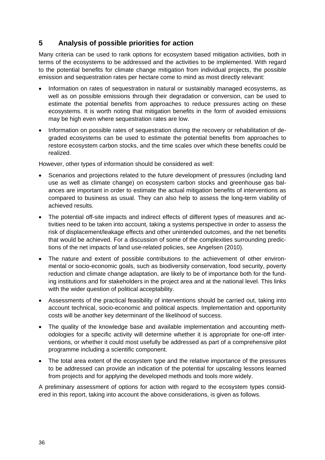# <span id="page-38-0"></span>**5 Analysis of possible priorities for action**

Many criteria can be used to rank options for ecosystem based mitigation activities, both in terms of the ecosystems to be addressed and the activities to be implemented. With regard to the potential benefits for climate change mitigation from individual projects, the possible emission and sequestration rates per hectare come to mind as most directly relevant:

- Information on rates of sequestration in natural or sustainably managed ecosystems, as well as on possible emissions through their degradation or conversion, can be used to estimate the potential benefits from approaches to reduce pressures acting on these ecosystems. It is worth noting that mitigation benefits in the form of avoided emissions may be high even where sequestration rates are low.
- Information on possible rates of sequestration during the recovery or rehabilitation of degraded ecosystems can be used to estimate the potential benefits from approaches to restore ecosystem carbon stocks, and the time scales over which these benefits could be realized.

However, other types of information should be considered as well:

- Scenarios and projections related to the future development of pressures (including land use as well as climate change) on ecosystem carbon stocks and greenhouse gas balances are important in order to estimate the actual mitigation benefits of interventions as compared to business as usual. They can also help to assess the long-term viability of achieved results.
- The potential off-site impacts and indirect effects of different types of measures and activities need to be taken into account, taking a systems perspective in order to assess the risk of displacement/leakage effects and other unintended outcomes, and the net benefits that would be achieved. For a discussion of some of the complexities surrounding predictions of the net impacts of land use-related policies, see Angelsen (2010).
- The nature and extent of possible contributions to the achievement of other environmental or socio-economic goals, such as biodiversity conservation, food security, poverty reduction and climate change adaptation, are likely to be of importance both for the funding institutions and for stakeholders in the project area and at the national level. This links with the wider question of political acceptability.
- Assessments of the practical feasibility of interventions should be carried out, taking into account technical, socio-economic and political aspects. Implementation and opportunity costs will be another key determinant of the likelihood of success.
- The quality of the knowledge base and available implementation and accounting methodologies for a specific activity will determine whether it is appropriate for one-off interventions, or whether it could most usefully be addressed as part of a comprehensive pilot programme including a scientific component.
- The total area extent of the ecosystem type and the relative importance of the pressures to be addressed can provide an indication of the potential for upscaling lessons learned from projects and for applying the developed methods and tools more widely.

A preliminary assessment of options for action with regard to the ecosystem types considered in this report, taking into account the above considerations, is given as follows.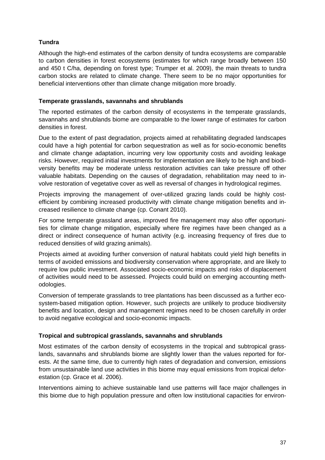# **Tundra**

Although the high-end estimates of the carbon density of tundra ecosystems are comparable to carbon densities in forest ecosystems (estimates for which range broadly between 150 and 450 t C/ha, depending on forest type; Trumper et al. 2009), the main threats to tundra carbon stocks are related to climate change. There seem to be no major opportunities for beneficial interventions other than climate change mitigation more broadly.

#### **Temperate grasslands, savannahs and shrublands**

The reported estimates of the carbon density of ecosystems in the temperate grasslands, savannahs and shrublands biome are comparable to the lower range of estimates for carbon densities in forest.

Due to the extent of past degradation, projects aimed at rehabilitating degraded landscapes could have a high potential for carbon sequestration as well as for socio-economic benefits and climate change adaptation, incurring very low opportunity costs and avoiding leakage risks. However, required initial investments for implementation are likely to be high and biodiversity benefits may be moderate unless restoration activities can take pressure off other valuable habitats. Depending on the causes of degradation, rehabilitation may need to involve restoration of vegetative cover as well as reversal of changes in hydrological regimes.

Projects improving the management of over-utilized grazing lands could be highly costefficient by combining increased productivity with climate change mitigation benefits and increased resilience to climate change (cp. Conant 2010).

For some temperate grassland areas, improved fire management may also offer opportunities for climate change mitigation, especially where fire regimes have been changed as a direct or indirect consequence of human activity (e.g. increasing frequency of fires due to reduced densities of wild grazing animals).

Projects aimed at avoiding further conversion of natural habitats could yield high benefits in terms of avoided emissions and biodiversity conservation where appropriate, and are likely to require low public investment. Associated socio-economic impacts and risks of displacement of activities would need to be assessed. Projects could build on emerging accounting methodologies.

Conversion of temperate grasslands to tree plantations has been discussed as a further ecosystem-based mitigation option. However, such projects are unlikely to produce biodiversity benefits and location, design and management regimes need to be chosen carefully in order to avoid negative ecological and socio-economic impacts.

#### **Tropical and subtropical grasslands, savannahs and shrublands**

Most estimates of the carbon density of ecosystems in the tropical and subtropical grasslands, savannahs and shrublands biome are slightly lower than the values reported for forests. At the same time, due to currently high rates of degradation and conversion, emissions from unsustainable land use activities in this biome may equal emissions from tropical deforestation (cp. Grace et al. 2006).

Interventions aiming to achieve sustainable land use patterns will face major challenges in this biome due to high population pressure and often low institutional capacities for environ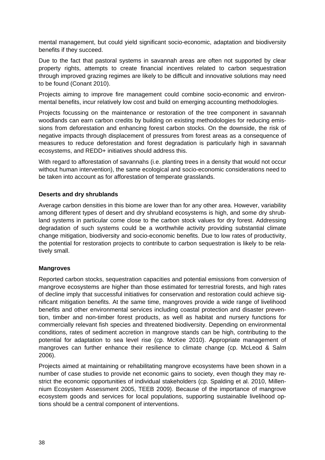mental management, but could yield significant socio-economic, adaptation and biodiversity benefits if they succeed.

Due to the fact that pastoral systems in savannah areas are often not supported by clear property rights, attempts to create financial incentives related to carbon sequestration through improved grazing regimes are likely to be difficult and innovative solutions may need to be found (Conant 2010).

Projects aiming to improve fire management could combine socio-economic and environmental benefits, incur relatively low cost and build on emerging accounting methodologies.

Projects focussing on the maintenance or restoration of the tree component in savannah woodlands can earn carbon credits by building on existing methodologies for reducing emissions from deforestation and enhancing forest carbon stocks. On the downside, the risk of negative impacts through displacement of pressures from forest areas as a consequence of measures to reduce deforestation and forest degradation is particularly high in savannah ecosystems, and REDD+ initiatives should address this.

With regard to afforestation of savannahs (i.e. planting trees in a density that would not occur without human intervention), the same ecological and socio-economic considerations need to be taken into account as for afforestation of temperate grasslands.

### **Deserts and dry shrublands**

Average carbon densities in this biome are lower than for any other area. However, variability among different types of desert and dry shrubland ecosystems is high, and some dry shrubland systems in particular come close to the carbon stock values for dry forest. Addressing degradation of such systems could be a worthwhile activity providing substantial climate change mitigation, biodiversity and socio-economic benefits. Due to low rates of productivity, the potential for restoration projects to contribute to carbon sequestration is likely to be relatively small.

#### **Mangroves**

Reported carbon stocks, sequestration capacities and potential emissions from conversion of mangrove ecosystems are higher than those estimated for terrestrial forests, and high rates of decline imply that successful initiatives for conservation and restoration could achieve significant mitigation benefits. At the same time, mangroves provide a wide range of livelihood benefits and other environmental services including coastal protection and disaster prevention, timber and non-timber forest products, as well as habitat and nursery functions for commercially relevant fish species and threatened biodiversity. Depending on environmental conditions, rates of sediment accretion in mangrove stands can be high, contributing to the potential for adaptation to sea level rise (cp. McKee 2010). Appropriate management of mangroves can further enhance their resilience to climate change (cp. McLeod & Salm 2006).

Projects aimed at maintaining or rehabilitating mangrove ecosystems have been shown in a number of case studies to provide net economic gains to society, even though they may restrict the economic opportunities of individual stakeholders (cp. Spalding et al. 2010, Millennium Ecosystem Assessment 2005, TEEB 2009). Because of the importance of mangrove ecosystem goods and services for local populations, supporting sustainable livelihood options should be a central component of interventions.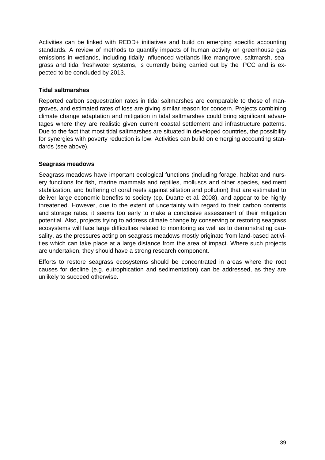Activities can be linked with REDD+ initiatives and build on emerging specific accounting standards. A review of methods to quantify impacts of human activity on greenhouse gas emissions in wetlands, including tidally influenced wetlands like mangrove, saltmarsh, seagrass and tidal freshwater systems, is currently being carried out by the IPCC and is expected to be concluded by 2013.

# **Tidal saltmarshes**

Reported carbon sequestration rates in tidal saltmarshes are comparable to those of mangroves, and estimated rates of loss are giving similar reason for concern. Projects combining climate change adaptation and mitigation in tidal saltmarshes could bring significant advantages where they are realistic given current coastal settlement and infrastructure patterns. Due to the fact that most tidal saltmarshes are situated in developed countries, the possibility for synergies with poverty reduction is low. Activities can build on emerging accounting standards (see above).

### **Seagrass meadows**

Seagrass meadows have important ecological functions (including forage, habitat and nursery functions for fish, marine mammals and reptiles, molluscs and other species, sediment stabilization, and buffering of coral reefs against siltation and pollution) that are estimated to deliver large economic benefits to society (cp. Duarte et al. 2008), and appear to be highly threatened. However, due to the extent of uncertainty with regard to their carbon contents and storage rates, it seems too early to make a conclusive assessment of their mitigation potential. Also, projects trying to address climate change by conserving or restoring seagrass ecosystems will face large difficulties related to monitoring as well as to demonstrating causality, as the pressures acting on seagrass meadows mostly originate from land-based activities which can take place at a large distance from the area of impact. Where such projects are undertaken, they should have a strong research component.

Efforts to restore seagrass ecosystems should be concentrated in areas where the root causes for decline (e.g. eutrophication and sedimentation) can be addressed, as they are unlikely to succeed otherwise.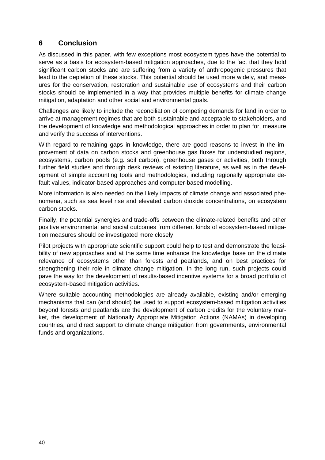# <span id="page-42-0"></span>**6 Conclusion**

As discussed in this paper, with few exceptions most ecosystem types have the potential to serve as a basis for ecosystem-based mitigation approaches, due to the fact that they hold significant carbon stocks and are suffering from a variety of anthropogenic pressures that lead to the depletion of these stocks. This potential should be used more widely, and measures for the conservation, restoration and sustainable use of ecosystems and their carbon stocks should be implemented in a way that provides multiple benefits for climate change mitigation, adaptation and other social and environmental goals.

Challenges are likely to include the reconciliation of competing demands for land in order to arrive at management regimes that are both sustainable and acceptable to stakeholders, and the development of knowledge and methodological approaches in order to plan for, measure and verify the success of interventions.

With regard to remaining gaps in knowledge, there are good reasons to invest in the improvement of data on carbon stocks and greenhouse gas fluxes for understudied regions, ecosystems, carbon pools (e.g. soil carbon), greenhouse gases or activities, both through further field studies and through desk reviews of existing literature, as well as in the development of simple accounting tools and methodologies, including regionally appropriate default values, indicator-based approaches and computer-based modelling.

More information is also needed on the likely impacts of climate change and associated phenomena, such as sea level rise and elevated carbon dioxide concentrations, on ecosystem carbon stocks.

Finally, the potential synergies and trade-offs between the climate-related benefits and other positive environmental and social outcomes from different kinds of ecosystem-based mitigation measures should be investigated more closely.

Pilot projects with appropriate scientific support could help to test and demonstrate the feasibility of new approaches and at the same time enhance the knowledge base on the climate relevance of ecosystems other than forests and peatlands, and on best practices for strengthening their role in climate change mitigation. In the long run, such projects could pave the way for the development of results-based incentive systems for a broad portfolio of ecosystem-based mitigation activities.

Where suitable accounting methodologies are already available, existing and/or emerging mechanisms that can (and should) be used to support ecosystem-based mitigation activities beyond forests and peatlands are the development of carbon credits for the voluntary market, the development of Nationally Appropriate Mitigation Actions (NAMAs) in developing countries, and direct support to climate change mitigation from governments, environmental funds and organizations.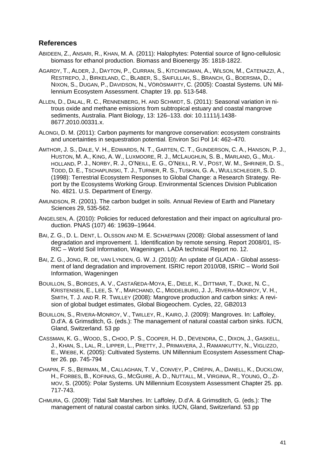# <span id="page-43-0"></span>**References**

- ABIDEEN, Z., ANSARI, R., KHAN, M. A. (2011): Halophytes: Potential source of ligno-cellulosic biomass for ethanol production. Biomass and Bioenergy 35: 1818-1822.
- AGARDY, T., ALDER, J., DAYTON, P., CURRAN, S., KITCHINGMAN, A., WILSON, M., CATENAZZI, A., RESTREPO, J., BIRKELAND, C., BLABER, S., SAIFULLAH, S., BRANCH, G., BOERSMA, D., NIXON, S., DUGAN, P., DAVIDSON, N., VÖRÖSMARTY, C. (2005): Coastal Systems. UN Millennium Ecosystem Assessment. Chapter 19. pp. 513-548.
- ALLEN, D., DALAL, R. C., RENNENBERG, H. AND SCHMIDT, S. (2011): Seasonal variation in nitrous oxide and methane emissions from subtropical estuary and coastal mangrove sediments, Australia. Plant Biology, 13: 126–133. doi: 10.1111/j.1438- 8677.2010.00331.x.
- ALONGI, D. M. (2011): Carbon payments for mangrove conservation: ecosystem constraints and uncertainties in sequestration potential. Environ Sci Pol 14: 462–470.
- AMTHOR, J. S., DALE, V. H., EDWARDS, N. T., GARTEN, C. T., GUNDERSON, C. A., HANSON, P. J., HUSTON, M. A., KING, A. W., LUXMOORE, R. J., MCLAUGHLIN, S. B., MARLAND, G., MUL-HOLLAND, P. J., NORBY, R. J., O'NEILL, E. G., O'NEILL, R. V., POST, W. M., SHRINER, D. S., TODD, D. E., TSCHAPLINSKI, T. J., TURNER, R. S., TUSKAN, G. A., WULLSCHLEGER, S. D. (1998): Terrestrial Ecosystem Responses to Global Change: a Research Strategy. Report by the Ecosystems Working Group. Environmental Sciences Division Publication No. 4821. U.S. Department of Energy.
- AMUNDSON, R. (2001). The carbon budget in soils. Annual Review of Earth and Planetary Sciences 29, 535-562.
- ANGELSEN, A. (2010): Policies for reduced deforestation and their impact on agricultural production. PNAS (107) 46: 19639–19644.
- BAI, Z. G., D. L. DENT, L. OLSSON AND M. E. SCHAEPMAN (2008): Global assessment of land degradation and improvement. 1. Identification by remote sensing. Report 2008/01, IS-RIC – World Soil Information, Wageningen. LADA technical Report no. 12.
- BAI, Z. G., JONG, R. DE, VAN LYNDEN, G. W. J. (2010): An update of GLADA Global assessment of land degradation and improvement. ISRIC report 2010/08, ISRIC – World Soil Information, Wageningen
- BOUILLON, S., BORGES, A. V., CASTAÑEDA-MOYA, E., DIELE, K., DITTMAR, T., DUKE, N. C., KRISTENSEN, E., LEE, S. Y., MARCHAND, C., MIDDELBURG, J. J,. RIVERA-MONROY, V. H., SMITH, T. J. AND R. R. TWILLEY (2008): Mangrove production and carbon sinks: A revision of global budget estimates, Global Biogeochem. Cycles, 22, GB2013
- BOUILLON, S., RIVERA-MONROY, V., TWILLEY, R., KAIRO, J. (2009): Mangroves. In: Laffoley, D.d'A. & Grimsditch, G. (eds.): The management of natural coastal carbon sinks. IUCN, Gland, Switzerland. 53 pp
- CASSMAN, K. G., WOOD, S., CHOO, P. S., COOPER, H. D., DEVENDRA, C., DIXON, J., GASKELL, J., KHAN, S., LAL, R., LIPPER, L., PRETTY, J., PRIMAVERA, J., RAMANKUTTY, N., VIGLIZZO, E., WIEBE, K. (2005): Cultivated Systems. UN Millennium Ecosystem Assessment Chapter 26. pp. 745-794
- CHAPIN, F. S., BERMAN, M., CALLAGHAN, T. V., CONVEY, P., CRÉPIN, A., DANELL, K., DUCKLOW, H., FORBES, B., KOFINAS, G., MCGUIRE, A. D., NUTTALL, M., VIRGINIA, R., YOUNG, O., ZI-MOV, S. (2005): Polar Systems. UN Millennium Ecosystem Assessment Chapter 25. pp. 717-743.
- CHMURA, G. (2009): Tidal Salt Marshes. In: Laffoley, D.d'A. & Grimsditch, G. (eds.): The management of natural coastal carbon sinks. IUCN, Gland, Switzerland. 53 pp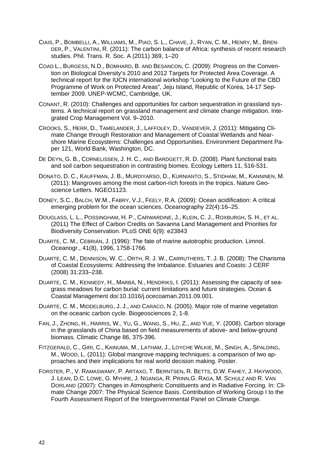- CIAIS, P., BOMBELLI, A., WILLIAMS, M., PIAO, S. L., CHAVE, J., RYAN, C. M., HENRY, M., BREN-DER, P., VALENTINI, R. (2011): The carbon balance of Africa: synthesis of recent research studies. Phil. Trans. R. Soc. A (2011) 369, 1–20
- COAD L., BURGESS, N.D., BOMHARD, B. AND BESANCON, C. (2009): Progress on the Convention on Biological Diversity's 2010 and 2012 Targets for Protected Area Coverage. A technical report for the IUCN international workshop "Looking to the Future of the CBD Programme of Work on Protected Areas", Jeju Island, Republic of Korea, 14-17 September 2009. UNEP-WCMC, Cambridge, UK.
- CONANT, R. (2010): Challenges and opportunities for carbon sequestration in grassland systems. A technical report on grassland management and climate change mitigation. Integrated Crop Management Vol. 9–2010.
- CROOKS, S., HERR, D., TAMELANDER, J., LAFFOLEY, D., VANDEVER, J. (2011): Mitigating Climate Change through Restoration and Management of Coastal Wetlands and Nearshore Marine Ecosystems: Challenges and Opportunities. Environment Department Paper 121, World Bank, Washington, DC.
- DE DEYN, G. B., CORNELISSEN, J. H. C., AND BARDGETT, R. D. (2008). Plant functional traits and soil carbon sequestration in contrasting biomes. Ecology Letters 11, 516-531.
- DONATO, D. C., KAUFFMAN, J. B., MURDIYARSO, D., KURNIANTO, S., STIDHAM, M., KANNINEN, M. (2011): Mangroves among the most carbon-rich forests in the tropics. Nature Geoscience Letters. NGEO1123.
- DONEY, S.C., BALCH, W.M., FABRY, V.J., FEELY, R.A. (2009): Ocean acidification: A critical emerging problem for the ocean sciences. Oceanography 22(4):16–25.
- DOUGLASS, L. L., POSSINGHAM, H. P., CARWARDINE, J., KLEIN, C. J., ROXBURGH, S. H., ET AL. (2011) The Effect of Carbon Credits on Savanna Land Management and Priorities for Biodiversity Conservation. PLoS ONE 6(9): e23843
- DUARTE, C. M., CEBRIÁN, J. (1996): The fate of marine autotrophic production. Limnol. Oceanogr., 41(8), 1996, 1758-1766.
- DUARTE, C. M., DENNISON, W. C., ORTH, R. J. W., CARRUTHERS, T. J. B. (2008): The Charisma of Coastal Ecosystems: Addressing the Imbalance. Estuaries and Coasts: J CERF (2008) 31:233–238.
- DUARTE, C. M., KENNEDY, H., MARBÀ, N., HENDRIKS, I. (2011): Assessing the capacity of seagrass meadows for carbon burial: current limitations and future strategies. Ocean & Coastal Management doi:10.1016/j.ocecoaman.2011.09.001.
- DUARTE, C. M., MIDDELBURG, J. J., AND CARACO, N. (2005). Major role of marine vegetation on the oceanic carbon cycle. Biogeosciences 2, 1-8.
- FAN, J., ZHONG, H., HARRIS, W., YU, G., WANG, S., HU, Z., AND YUE, Y. (2008). Carbon storage in the grasslands of China based on field measurements of above- and below-ground biomass. Climatic Change 86, 375-396.
- FITZGERALD, C., GIRI, C., KAINUMA, M., LATHAM, J., LOYCHE WILKIE, M., SINGH, A., SPALDING, M., WOOD, L. (2011): Global mangrove mapping techniques: a comparison of two approaches and their implications for real world decision making. Poster.
- FORSTER, P., V. RAMASWAMY, P. ARTAXO, T. BERNTSEN, R. BETTS, D.W. FAHEY, J. HAYWOOD, J. LEAN, D.C. LOWE, G. MYHRE, J. NGANGA, R. PRINN,G. RAGA, M. SCHULZ AND R. VAN DORLAND (2007): Changes in Atmospheric Constituents and in Radiative Forcing. In: Climate Change 2007: The Physical Science Basis. Contribution of Working Group I to the Fourth Assessment Report of the Intergovernmental Panel on Climate Change.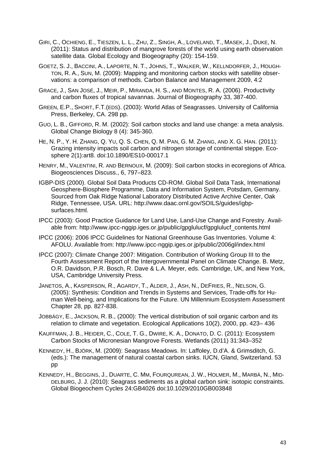- GIRI, C., OCHIENG, E., TIESZEN, L. L., ZHU, Z., SINGH, A., LOVELAND, T., MASEK, J., DUKE, N. (2011): Status and distribution of mangrove forests of the world using earth observation satellite data. Global Ecology and Biogeography (20): 154-159.
- GOETZ, S. J., BACCINI, A., LAPORTE, N. T., JOHNS, T., WALKER, W., KELLNDORFER, J., HOUGH-TON, R. A., SUN, M. (2009): Mapping and monitoring carbon stocks with satellite observations: a comparison of methods. Carbon Balance and Management 2009, 4:2
- GRACE, J., SAN JOSÉ, J., MEIR, P., MIRANDA, H. S., AND MONTES, R. A. (2006). Productivity and carbon fluxes of tropical savannas. Journal of Biogeography 33, 387-400.
- GREEN, E.P., SHORT, F.T.(EDS). (2003): World Atlas of Seagrasses. University of California Press, Berkeley, CA. 298 pp.
- GUO, L. B., GIFFORD, R. M. (2002): Soil carbon stocks and land use change: a meta analysis. Global Change Biology 8 (4): 345-360.
- HE, N. P., Y. H. ZHANG, Q. YU, Q. S. CHEN, Q. M. PAN, G. M. ZHANG, AND X. G. HAN. (2011): Grazing intensity impacts soil carbon and nitrogen storage of continental steppe. Ecosphere 2(1):art8. doi:10.1890/ES10-00017.1
- HENRY, M., VALENTINI, R. AND BERNOUX, M. (2009): Soil carbon stocks in ecoregions of Africa. Biogeosciences Discuss., 6, 797–823.
- IGBP-DIS (2000). Global Soil Data Products CD-ROM. Global Soil Data Task, International Geosphere-Biosphere Programme, Data and Information System, Potsdam, Germany. Sourced from Oak Ridge National Laboratory Distributed Active Archive Center, Oak Ridge, Tennessee, USA. URL: http://www.daac.ornl.gov/SOILS/guides/igbpsurfaces.html.
- IPCC (2003): Good Practice Guidance for Land Use, Land-Use Change and Forestry. Available from: http://www.ipcc-nggip.iges.or.jp/public/gpglulucf/gpglulucf\_contents.html
- IPCC (2006): 2006 IPCC Guidelines for National Greenhouse Gas Inventories. Volume 4: AFOLU. Available from: http://www.ipcc-nggip.iges.or.jp/public/2006gl/index.html
- IPCC (2007): Climate Change 2007: Mitigation. Contribution of Working Group III to the Fourth Assessment Report of the Intergovernmental Panel on Climate Change. B. Metz, O.R. Davidson, P.R. Bosch, R. Dave & L.A. Meyer, eds. Cambridge, UK, and New York, USA, Cambridge University Press.
- JANETOS, A., KASPERSON, R., AGARDY, T., ALDER, J., ASH, N., DEFRIES, R., NELSON, G. (2005): Synthesis: Condition and Trends in Systems and Services, Trade-offs for Human Well-being, and Implications for the Future. UN Millennium Ecosystem Assessment Chapter 28, pp. 827-838.
- JOBBÁGY, E., JACKSON, R. B., (2000): The vertical distribution of soil organic carbon and its relation to climate and vegetation. Ecological Applications 10(2), 2000, pp. 423– 436
- KAUFFMAN, J. B., HEIDER, C., COLE, T. G., DWIRE, K. A., DONATO, D. C. (2011): Ecosystem Carbon Stocks of Micronesian Mangrove Forests. Wetlands (2011) 31:343–352
- KENNEDY, H., BJÖRK, M. (2009): Seagrass Meadows. In: Laffoley, D.d'A. & Grimsditch, G. (eds.): The management of natural coastal carbon sinks. IUCN, Gland, Switzerland. 53 pp
- KENNEDY, H., BEGGINS, J., DUARTE, C. MM, FOURQUREAN, J. W., HOLMER, M., MARBÀ, N., MID-DELBURG, J. J. (2010): Seagrass sediments as a global carbon sink: isotopic constraints. Global Biogeochem Cycles 24:GB4026 doi:10.1029/2010GB003848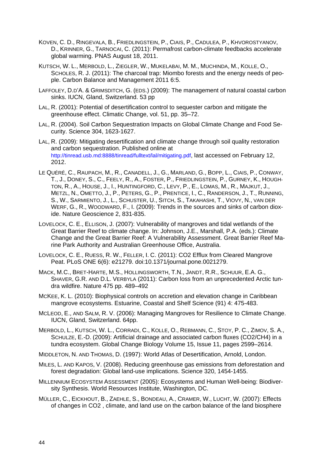- KOVEN, C. D., RINGEVALA, B., FRIEDLINGSTEIN, P., CIAIS, P., CADULEA, P., KHVOROSTYANOV, D., KRINNER, G., TARNOCAI, C. (2011): Permafrost carbon-climate feedbacks accelerate global warming. PNAS August 18, 2011.
- KUTSCH, W. L., MERBOLD, L., ZIEGLER, W., MUKELABAI, M. M., MUCHINDA, M., KOLLE, O., SCHOLES, R. J. (2011): The charcoal trap: Miombo forests and the energy needs of people. Carbon Balance and Management 2011 6:5.
- LAFFOLEY, D.D'A. & GRIMSDITCH, G. (EDS.) (2009): The management of natural coastal carbon sinks. IUCN, Gland, Switzerland. 53 pp
- LAL, R. (2001): Potential of desertification control to sequester carbon and mitigate the greenhouse effect. Climatic Change, vol. 51, pp. 35–72.
- LAL, R. (2004). Soil Carbon Sequestration Impacts on Global Climate Change and Food Security. Science 304, 1623-1627.
- LAL, R. (2009): Mitigating desertification and climate change through soil quality restoration and carbon sequestration. Published online at [http://tinread.usb.md:8888/tinread/fulltext/lal/mitigating.pdf,](http://tinread.usb.md:8888/tinread/fulltext/lal/mitigating.pdf) last accessed on February 12, 2012.
- LE QUÉRÉ, C., RAUPACH, M., R., CANADELL, J., G., MARLAND, G., BOPP, L., CIAIS, P., CONWAY, T., J., DONEY, S., C., FEELY, R., A., FOSTER, P., FRIEDLINGSTEIN, P., GURNEY, K., HOUGH-TON, R., A., HOUSE, J., I., HUNTINGFORD, C., LEVY, P., E., LOMAS, M., R., MAJKUT, J., METZL, N., OMETTO, J., P., PETERS, G., P., PRENTICE, I., C., RANDERSON, J., T., RUNNING, S., W., SARMIENTO, J., L., SCHUSTER, U., SITCH, S., TAKAHASHI, T., VIOVY, N., VAN DER WERF, G., R., WOODWARD, F., I. (2009): Trends in the sources and sinks of carbon dioxide. Nature Geoscience 2, 831-835.
- LOVELOCK, C. E., ELLISON, J. (2007): Vulnerability of mangroves and tidal wetlands of the Great Barrier Reef to climate change. In: Johnson, J.E., Marshall, P.A. (eds.): Climate Change and the Great Barrier Reef: A Vulnerability Assessment. Great Barrier Reef Marine Park Authority and Australian Greenhouse Office, Australia.
- LOVELOCK, C. E., RUESS, R. W., FELLER, I. C. (2011): CO2 Efflux from Cleared Mangrove Peat. PLoS ONE 6(6): e21279. doi:10.1371/journal.pone.0021279.
- MACK, M.C., BRET-HARTE, M.S., HOLLINGSWORTH, T.N., JANDT, R.R., SCHUUR, E.A. G., SHAVER, G.R. AND D.L. VERBYLA (2011): Carbon loss from an unprecedented Arctic tundra wildfire. Nature 475 pp. 489–492
- MCKEE, K. L. (2010): Biophysical controls on accretion and elevation change in Caribbean mangrove ecosystems. Estuarine, Coastal and Shelf Science (91) 4: 475-483.
- MCLEOD, E., AND SALM, R. V. (2006): Managing Mangroves for Resilience to Climate Change. IUCN, Gland, Switzerland. 64pp.
- MERBOLD, L., KUTSCH, W. L., CORRADI, C., KOLLE, O., REBMANN, C., STOY, P. C., ZIMOV, S. A., SCHULZE, E.-D. (2009): Artificial drainage and associated carbon fluxes (CO2/CH4) in a tundra ecosystem. Global Change Biology Volume 15, Issue 11, pages 2599–2614.

MIDDLETON, N. AND THOMAS, D. (1997): World Atlas of Desertification, Arnold, London.

- MILES, L. AND KAPOS, V. (2008). Reducing greenhouse gas emissions from deforestation and forest degradation: Global land-use implications. Science 320, 1454-1455.
- MILLENNIUM ECOSYSTEM ASSESSMENT (2005): Ecosystems and Human Well-being: Biodiversity Synthesis. World Resources Institute, Washington, DC.
- MÜLLER, C., EICKHOUT, B., ZAEHLE, S., BONDEAU, A., CRAMER, W., LUCHT, W. (2007): Effects of changes in CO2 , climate, and land use on the carbon balance of the land biosphere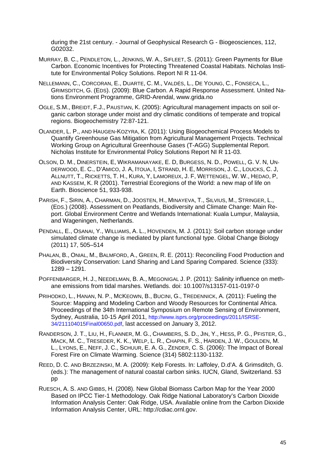during the 21st century. - Journal of Geophysical Research G - Biogeosciences, 112, G02032.

- MURRAY, B. C., PENDLETON, L., JENKINS, W. A., SIFLEET, S. (2011): Green Payments for Blue Carbon. Economic Incentives for Protecting Threatened Coastal Habitats. Nicholas Institute for Environmental Policy Solutions. Report NI R 11-04.
- NELLEMANN, C., CORCORAN, E., DUARTE, C. M., VALDÉS, L., DE YOUNG, C., FONSECA, L., GRIMSDITCH, G. (EDS). (2009): Blue Carbon. A Rapid Response Assessment. United Nations Environment Programme, GRID-Arendal, www.grida.no
- OGLE, S.M., BREIDT, F.J., PAUSTIAN, K. (2005): Agricultural management impacts on soil organic carbon storage under moist and dry climatic conditions of temperate and tropical regions. Biogeochemistry 72:87-121.
- OLANDER, L. P., AND HAUGEN-KOZYRA, K. (2011): Using Biogeochemical Process Models to Quantify Greenhouse Gas Mitigation from Agricultural Management Projects. Technical Working Group on Agricultural Greenhouse Gases (T-AGG) Supplemental Report. Nicholas Institute for Environmental Policy Solutions Report NI R 11-03.
- OLSON, D. M., DINERSTEIN, E, WIKRAMANAYAKE, E. D, BURGESS, N. D., POWELL, G. V. N, UN-DERWOOD, E. C., D'AMICO, J. A, ITOUA, I, STRAND, H. E, MORRISON, J. C., LOUCKS, C. J, ALLNUTT, T., RICKETTS, T. H., KURA, Y, LAMOREUX, J. F, WETTENGEL, W. W., HEDAO, P, AND KASSEM, K. R (2001). Terrestrial Ecoregions of the World: a new map of life on Earth. Bioscience 51, 933-938.
- PARISH, F., SIRIN, A., CHARMAN, D., JOOSTEN, H., MINAYEVA, T., SILVIUS, M., STRINGER, L., (EDS.) (2008). Assessment on Peatlands, Biodiversity and Climate Change: Main Report. Global Environment Centre and Wetlands International: Kuala Lumpur, Malaysia, and Wageningen, Netherlands.
- PENDALL, E., OSANAI, Y., WILLIAMS, A. L., HOVENDEN, M. J. (2011): Soil carbon storage under simulated climate change is mediated by plant functional type. Global Change Biology (2011) 17, 505–514
- PHALAN, B., ONIAL, M., BALMFORD, A., GREEN, R. E. (2011): Reconciling Food Production and Biodiversity Conservation: Land Sharing and Land Sparing Compared. Science (333): 1289 – 1291.
- POFFENBARGER, H. J., NEEDELMAN, B. A., MEGONIGAL J. P. (2011): Salinity influence on methane emissions from tidal marshes. Wetlands. doi: 10.1007/s13157-011-0197-0
- PRIHODKO, L., HANAN, N. P., MCKEOWN, B., BUCINI, G., TREDENNICK, A. (2011): Fueling the Source: Mapping and Modeling Carbon and Woody Resources for Continental Africa. Proceedings of the 34th International Symposium on Remote Sensing of Environment, Sydney, Australia, 10-15 April 2011, [http://www.isprs.org/proceedings/2011/ISRSE-](http://www.isprs.org/proceedings/2011/ISRSE-34/211104015Final00650.pdf)[34/211104015Final00650.pdf,](http://www.isprs.org/proceedings/2011/ISRSE-34/211104015Final00650.pdf) last accessed on January 3, 2012.
- RANDERSON, J. T., LIU, H., FLANNER, M. G., CHAMBERS, S. D., JIN, Y., HESS, P. G., PFISTER, G., MACK, M. C., TRESEDER, K. K., WELP, L. R., CHAPIN, F. S., HARDEN, J. W., GOULDEN, M. L., LYONS, E., NEFF, J. C., SCHUUR, E. A. G., ZENDER, C. S. (2006): The Impact of Boreal Forest Fire on Climate Warming. Science (314) 5802:1130-1132.
- REED, D. C. AND BRZEZINSKI, M. A. (2009): Kelp Forests. In: Laffoley, D.d'A. & Grimsditch, G. (eds.): The management of natural coastal carbon sinks. IUCN, Gland, Switzerland. 53 pp
- RUESCH, A. S. AND GIBBS, H. (2008). New Global Biomass Carbon Map for the Year 2000 Based on IPCC Tier-1 Methodology. Oak Ridge National Laboratory's Carbon Dioxide Information Analysis Center: Oak Ridge, USA. Available online from the Carbon Dioxide Information Analysis Center, URL: http://cdiac.ornl.gov.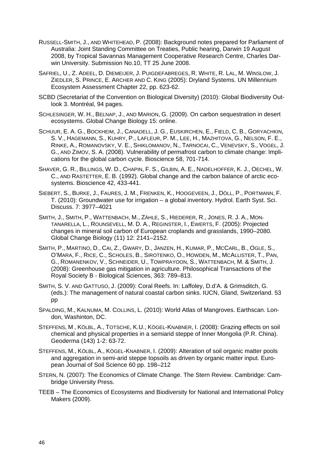- RUSSELL-SMITH, J., AND WHITEHEAD, P. (2008): Background notes prepared for Parliament of Australia: Joint Standing Committee on Treaties, Public hearing, Darwin 19 August 2008, by Tropical Savannas Management Cooperative Research Centre, Charles Darwin University. Submission No.10, TT 25 June 2008.
- SAFRIEL, U., Z. ADEEL, D. DIEMEIJER, J. PUIGDEFABREGES, R. WHITE, R. LAL, M. WINSLOW, J. ZIEDLER, S. PRINCE, E. ARCHER AND C. KING (2005): Dryland Systems. UN Millennium Ecosystem Assessment Chapter 22, pp. 623-62.
- SCBD (Secretariat of the Convention on Biological Diversity) (2010): Global Biodiversity Outlook 3. Montréal, 94 pages.
- SCHLESINGER, W. H., BELNAP, J., AND MARION, G. (2009). On carbon sequestration in desert ecosystems. Global Change Biology 15: online.
- SCHUUR, E. A. G., BOCKHEIM, J., CANADELL, J. G., EUSKIRCHEN, E., FIELD, C. B., GORYACHKIN, S. V., HAGEMANN, S., KUHRY, P., LAFLEUR, P. M., LEE, H., MAZHITOVA, G., NELSON, F. E., RINKE, A., ROMANOVSKY, V. E., SHIKLOMANOV, N., TARNOCAI, C., VENEVSKY, S., VOGEL, J. G., AND ZIMOV, S. A. (2008). Vulnerability of permafrost carbon to climate change: Implications for the global carbon cycle. Bioscience 58, 701-714.
- SHAVER, G. R., BILLINGS, W. D., CHAPIN, F. S., GILBIN, A. E., NADELHOFFER, K. J., OECHEL, W. C., AND RASTETTER, E. B. (1992). Global change and the carbon balance of arctic ecosystems. Bioscience 42, 433-441.
- SIEBERT, S., BURKE, J., FAURES, J. M., FRENKEN, K., HOOGEVEEN, J., DÖLL, P., PORTMANN, F. T. (2010): Groundwater use for irrigation – a global inventory. Hydrol. Earth Syst. Sci. Discuss. 7: 3977–4021
- SMITH, J., SMITH, P., WATTENBACH, M., ZÄHLE, S., HIEDERER, R., JONES, R. J. A., MON-TANARELLA, L., ROUNSEVELL, M. D. A., REGINSTER, I., EWERTS, F. (2005): Projected changes in mineral soil carbon of European croplands and grasslands, 1990–2080. Global Change Biology (11) 12: 2141–2152.
- SMITH, P., MARTINO, D., CAI, Z., GWARY, D., JANZEN, H., KUMAR, P., MCCARL, B., OGLE, S., O'MARA, F., RICE, C., SCHOLES, B., SIROTENKO, O., HOWDEN, M., MCALLISTER, T., PAN, G., ROMANENKOV, V., SCHNEIDER, U., TOWPRAYOON, S., WATTENBACH, M. & SMITH, J. (2008): Greenhouse gas mitigation in agriculture. Philosophical Transactions of the Royal Society B - Biological Sciences, 363: 789–813.
- SMITH, S. V. AND GATTUSO, J. (2009): Coral Reefs. In: Laffoley, D.d'A. & Grimsditch, G. (eds.): The management of natural coastal carbon sinks. IUCN, Gland, Switzerland. 53 pp
- SPALDING, M., KALNUMA, M. COLLINS, L. (2010): World Atlas of Mangroves. Earthscan. London, Washinton, DC.
- STEFFENS, M , KÖLBL, A., TOTSCHE, K.U., KÖGEL-KNABNER, I. (2008): Grazing effects on soil chemical and physical properties in a semiarid steppe of Inner Mongolia (P.R. China). Geoderma (143) 1-2: 63-72.
- STEFFENS, M., KÖLBL, A., KÖGEL-KNABNER, I. (2009): Alteration of soil organic matter pools and aggregation in semi-arid steppe topsoils as driven by organic matter input. European Journal of Soil Science 60 pp. 198–212
- STERN, N. (2007): The Economics of Climate Change. The Stern Review. Cambridge: Cambridge University Press.
- TEEB The Economics of Ecosystems and Biodiversity for National and International Policy Makers (2009).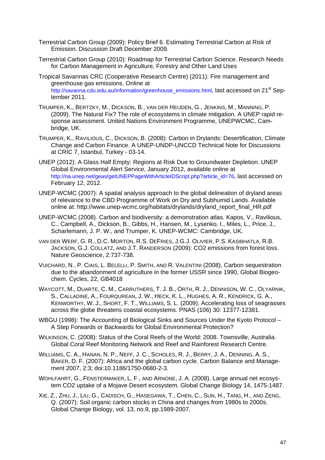- Terrestrial Carbon Group (2009): Policy Brief 6. Estimating Terrestrial Carbon at Risk of Emission. Discussion Draft December 2009.
- Terrestrial Carbon Group (2010): Roadmap for Terrestrial Carbon Science. Research Needs for Carbon Management in Agriculture, Forestry and Other Land Uses
- Tropical Savannas CRC (Cooperative Research Centre) (2011): Fire management and greenhouse gas emissions. Online at [http://savanna.cdu.edu.au/information/greenhouse\\_emissions.html](http://savanna.cdu.edu.au/information/greenhouse_emissions.html), last accessed on 21<sup>st</sup> September 2011.
- TRUMPER, K., BERTZKY, M., DICKSON, B., VAN DER HEIJDEN, G., JENKINS, M., MANNING, P. (2009). The Natural Fix? The role of ecosystems in climate mitigation. A UNEP rapid response assessment. United Nations Environment Programme, UNEPWCMC, Cambridge, UK.
- TRUMPER, K., RAVILIOUS, C., DICKSON, B. (2008): Carbon in Drylands: Desertification, Climate Change and Carbon Finance. A UNEP-UNDP-UNCCD Technical Note for Discussions at CRIC 7, Istanbul, Turkey - 03-14.
- UNEP (2012): A Glass Half Empty: Regions at Risk Due to Groundwater Depletion. UNEP Global Environmental Alert Service, January 2012, available online at [http://na.unep.net/geas/getUNEPPageWithArticleIDScript.php?article\\_id=76](http://na.unep.net/geas/getUNEPPageWithArticleIDScript.php?article_id=76), last accessed on February 12, 2012.
- UNEP-WCMC (2007): A spatial analysis approach to the global delineation of dryland areas of relevance to the CBD Programme of Work on Dry and Subhumid Lands. Available online at: http://www.unep-wcmc.org/habitats/drylands/dryland\_report\_final\_HR.pdf
- UNEP-WCMC (2008). Carbon and biodiversity: a demonstration atlas. Kapos, V., Ravilious, C., Campbell, A., Dickson, B., Gibbs, H., Hansen, M., Lysenko, I., Miles, L., Price, J., Scharlemann, J. P. W., and Trumper, K. UNEP-WCMC: Cambridge, UK.
- VAN DER WERF, G. R., D.C. MORTON, R.S. DEFRIES, J.G.J. OLIVIER, P.S. KASIBHATLA, R.B. JACKSON, G.J. COLLATZ, AND J.T. RANDERSON (2009): CO2 emissions from forest loss. Nature Geoscience, 2:737-738.
- VUICHARD, N., P. CIAIS, L. BELELLI, P. SMITH, AND R. VALENTINI (2008), Carbon sequestration due to the abandonment of agriculture in the former USSR since 1990, Global Biogeochem. Cycles, 22, GB4018
- WAYCOTT, M., DUARTE, C. M., CARRUTHERS, T. J. B., ORTH, R. J., DENNISON, W. C., OLYARNIK, S., CALLADINE, A., FOURQUREAN, J. W., HECK, K. L., HUGHES, A. R., KENDRICK, G. A., KENWORTHY, W. J., SHORT, F. T., WILLIAMS, S. L. (2009): Accelerating loss of seagrasses across the globe threatens coastal ecosystems. PNAS (106) 30: 12377-12381.
- WBGU (1998): The Accounting of Biological Sinks and Sources Under the Kyoto Protocol A Step Forwards or Backwards for Global Environmental Protection?
- WILKINSON, C. (2008): Status of the Coral Reefs of the World: 2008. Townsville, Australia. Global Coral Reef Monitoring Network and Reef and Rainforest Research Centre.
- WILLIAMS, C. A., HANAN, N. P., NEFF, J. C., SCHOLES, R. J., BERRY, J. A., DENNING, A. S., BAKER, D. F. (2007): Africa and the global carbon cycle. Carbon Balance and Management 2007, 2:3; doi:10.1186/1750-0680-2-3.
- WOHLFAHRT, G., FENSTERMAKER, L. F., AND ARNONE, J. A. (2008). Large annual net ecosystem CO2 uptake of a Mojave Desert ecosystem. Global Change Biology 14, 1475-1487.
- XIE, Z., ZHU, J., LIU, G., CADISCH, G., HASEGAWA, T., CHEN, C., SUN, H., TANG, H., AND ZENG, Q. (2007): Soil organic carbon stocks in China and changes from 1980s to 2000s. Global Change Biology, vol. 13, no.9, pp.1989-2007.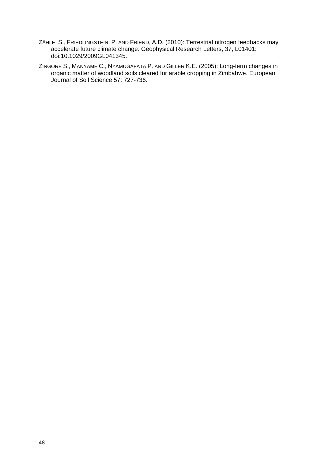- ZÄHLE, S., FRIEDLINGSTEIN, P. AND FRIEND, A.D. (2010): Terrestrial nitrogen feedbacks may accelerate future climate change. Geophysical Research Letters, 37, L01401: doi:10.1029/2009GL041345.
- ZINGORE S., MANYAME C., NYAMUGAFATA P. AND GILLER K.E. (2005): Long-term changes in organic matter of woodland soils cleared for arable cropping in Zimbabwe. European Journal of Soil Science 57: 727-736.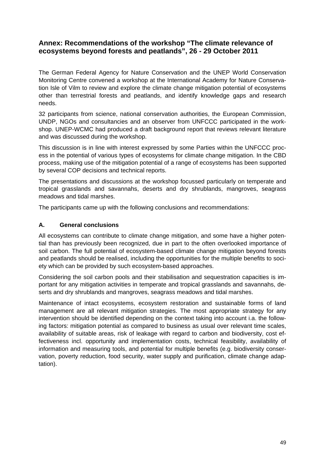# <span id="page-51-0"></span>**Annex: Recommendations of the workshop "The climate relevance of ecosystems beyond forests and peatlands", 26 - 29 October 2011**

The German Federal Agency for Nature Conservation and the UNEP World Conservation Monitoring Centre convened a workshop at the International Academy for Nature Conservation Isle of Vilm to review and explore the climate change mitigation potential of ecosystems other than terrestrial forests and peatlands, and identify knowledge gaps and research needs.

32 participants from science, national conservation authorities, the European Commission, UNDP, NGOs and consultancies and an observer from UNFCCC participated in the workshop. UNEP-WCMC had produced a draft background report that reviews relevant literature and was discussed during the workshop.

This discussion is in line with interest expressed by some Parties within the UNFCCC process in the potential of various types of ecosystems for climate change mitigation. In the CBD process, making use of the mitigation potential of a range of ecosystems has been supported by several COP decisions and technical reports.

The presentations and discussions at the workshop focussed particularly on temperate and tropical grasslands and savannahs, deserts and dry shrublands, mangroves, seagrass meadows and tidal marshes.

The participants came up with the following conclusions and recommendations:

# **A. General conclusions**

All ecosystems can contribute to climate change mitigation, and some have a higher potential than has previously been recognized, due in part to the often overlooked importance of soil carbon. The full potential of ecosystem-based climate change mitigation beyond forests and peatlands should be realised, including the opportunities for the multiple benefits to society which can be provided by such ecosystem-based approaches.

Considering the soil carbon pools and their stabilisation and sequestration capacities is important for any mitigation activities in temperate and tropical grasslands and savannahs, deserts and dry shrublands and mangroves, seagrass meadows and tidal marshes.

Maintenance of intact ecosystems, ecosystem restoration and sustainable forms of land management are all relevant mitigation strategies. The most appropriate strategy for any intervention should be identified depending on the context taking into account i.a. the following factors: mitigation potential as compared to business as usual over relevant time scales, availability of suitable areas, risk of leakage with regard to carbon and biodiversity, cost effectiveness incl. opportunity and implementation costs, technical feasibility, availability of information and measuring tools, and potential for multiple benefits (e.g. biodiversity conservation, poverty reduction, food security, water supply and purification, climate change adaptation).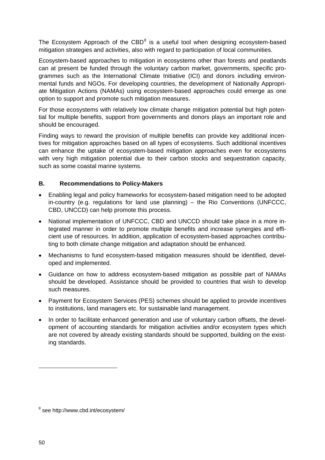The Ecosystem Approach of the CBD $<sup>8</sup>$  $<sup>8</sup>$  $<sup>8</sup>$  is a useful tool when designing ecosystem-based</sup> mitigation strategies and activities, also with regard to participation of local communities.

Ecosystem-based approaches to mitigation in ecosystems other than forests and peatlands can at present be funded through the voluntary carbon market, governments, specific programmes such as the International Climate Initiative (ICI) and donors including environmental funds and NGOs. For developing countries, the development of Nationally Appropriate Mitigation Actions (NAMAs) using ecosystem-based approaches could emerge as one option to support and promote such mitigation measures.

For those ecosystems with relatively low climate change mitigation potential but high potential for multiple benefits, support from governments and donors plays an important role and should be encouraged.

Finding ways to reward the provision of multiple benefits can provide key additional incentives for mitigation approaches based on all types of ecosystems. Such additional incentives can enhance the uptake of ecosystem-based mitigation approaches even for ecosystems with very high mitigation potential due to their carbon stocks and sequestration capacity, such as some coastal marine systems.

# **B. Recommendations to Policy-Makers**

- Enabling legal and policy frameworks for ecosystem-based mitigation need to be adopted in-country (e.g. regulations for land use planning) – the Rio Conventions (UNFCCC, CBD, UNCCD) can help promote this process.
- National implementation of UNFCCC, CBD and UNCCD should take place in a more integrated manner in order to promote multiple benefits and increase synergies and efficient use of resources. In addition, application of ecosystem-based approaches contributing to both climate change mitigation and adaptation should be enhanced.
- Mechanisms to fund ecosystem-based mitigation measures should be identified, developed and implemented.
- Guidance on how to address ecosystem-based mitigation as possible part of NAMAs should be developed. Assistance should be provided to countries that wish to develop such measures.
- Payment for Ecosystem Services (PES) schemes should be applied to provide incentives to institutions, land managers etc. for sustainable land management.
- In order to facilitate enhanced generation and use of voluntary carbon offsets, the development of accounting standards for mitigation activities and/or ecosystem types which are not covered by already existing standards should be supported, building on the existing standards.

-

<span id="page-52-0"></span><sup>&</sup>lt;sup>8</sup> see http://www.cbd.int/ecosystem/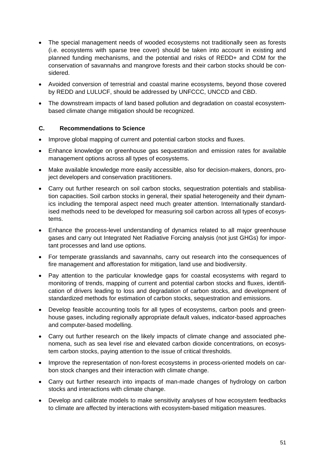- The special management needs of wooded ecosystems not traditionally seen as forests (i.e. ecosystems with sparse tree cover) should be taken into account in existing and planned funding mechanisms, and the potential and risks of REDD+ and CDM for the conservation of savannahs and mangrove forests and their carbon stocks should be considered.
- Avoided conversion of terrestrial and coastal marine ecosystems, beyond those covered by REDD and LULUCF, should be addressed by UNFCCC, UNCCD and CBD.
- The downstream impacts of land based pollution and degradation on coastal ecosystembased climate change mitigation should be recognized.

# **C. Recommendations to Science**

- Improve global mapping of current and potential carbon stocks and fluxes.
- Enhance knowledge on greenhouse gas sequestration and emission rates for available management options across all types of ecosystems.
- Make available knowledge more easily accessible, also for decision-makers, donors, project developers and conservation practitioners.
- Carry out further research on soil carbon stocks, sequestration potentials and stabilisation capacities. Soil carbon stocks in general, their spatial heterogeneity and their dynamics including the temporal aspect need much greater attention. Internationally standardised methods need to be developed for measuring soil carbon across all types of ecosystems.
- Enhance the process-level understanding of dynamics related to all major greenhouse gases and carry out Integrated Net Radiative Forcing analysis (not just GHGs) for important processes and land use options.
- For temperate grasslands and savannahs, carry out research into the consequences of fire management and afforestation for mitigation, land use and biodiversity.
- Pay attention to the particular knowledge gaps for coastal ecosystems with regard to monitoring of trends, mapping of current and potential carbon stocks and fluxes, identification of drivers leading to loss and degradation of carbon stocks, and development of standardized methods for estimation of carbon stocks, sequestration and emissions.
- Develop feasible accounting tools for all types of ecosystems, carbon pools and greenhouse gases, including regionally appropriate default values, indicator-based approaches and computer-based modelling.
- Carry out further research on the likely impacts of climate change and associated phenomena, such as sea level rise and elevated carbon dioxide concentrations, on ecosystem carbon stocks, paying attention to the issue of critical thresholds.
- Improve the representation of non-forest ecosystems in process-oriented models on carbon stock changes and their interaction with climate change.
- Carry out further research into impacts of man-made changes of hydrology on carbon stocks and interactions with climate change.
- Develop and calibrate models to make sensitivity analyses of how ecosystem feedbacks to climate are affected by interactions with ecosystem-based mitigation measures.